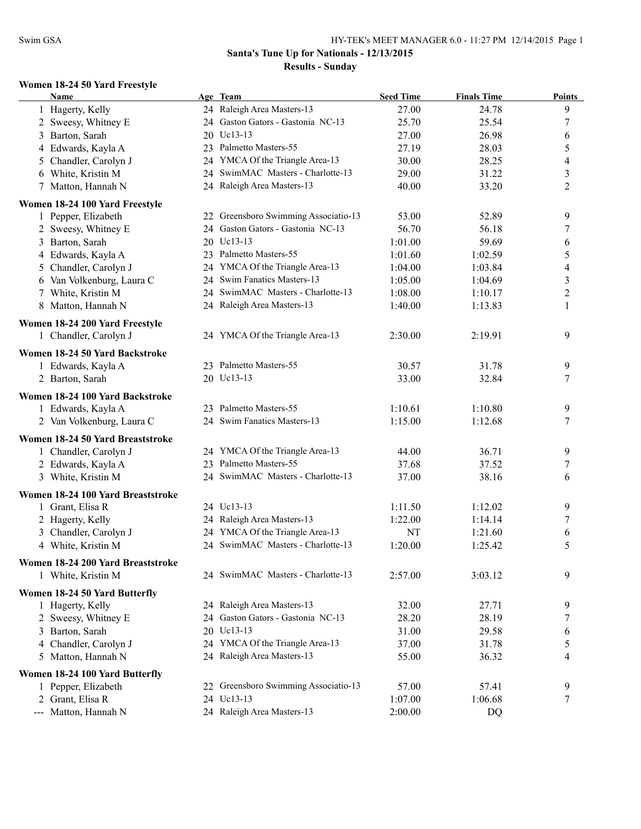#### **Women 18-24 50 Yard Freestyle**

| 24 Raleigh Area Masters-13<br>27.00<br>24.78<br>9<br>1 Hagerty, Kelly<br>24 Gaston Gators - Gastonia NC-13<br>$\boldsymbol{7}$<br>2 Sweesy, Whitney E<br>25.70<br>25.54<br>20 Uc13-13<br>3 Barton, Sarah<br>27.00<br>26.98<br>6<br>5<br>23 Palmetto Masters-55<br>4 Edwards, Kayla A<br>27.19<br>28.03<br>24 YMCA Of the Triangle Area-13<br>28.25<br>5 Chandler, Carolyn J<br>30.00<br>$\overline{4}$<br>3<br>24 SwimMAC Masters - Charlotte-13<br>6 White, Kristin M<br>29.00<br>31.22<br>24 Raleigh Area Masters-13<br>$\overline{2}$<br>7 Matton, Hannah N<br>40.00<br>33.20<br>Women 18-24 100 Yard Freestyle<br>1 Pepper, Elizabeth<br>22 Greensboro Swimming Associatio-13<br>9<br>53.00<br>52.89<br>24 Gaston Gators - Gastonia NC-13<br>$\boldsymbol{7}$<br>2 Sweesy, Whitney E<br>56.70<br>56.18<br>20 Uc13-13<br>3 Barton, Sarah<br>1:01.00<br>59.69<br>6<br>4 Edwards, Kayla A<br>23 Palmetto Masters-55<br>5<br>1:02.59<br>1:01.60<br>24 YMCA Of the Triangle Area-13<br>5 Chandler, Carolyn J<br>4<br>1:04.00<br>1:03.84<br>24 Swim Fanatics Masters-13<br>$\mathfrak{Z}$<br>6 Van Volkenburg, Laura C<br>1:05.00<br>1:04.69<br>$\overline{2}$<br>24 SwimMAC Masters - Charlotte-13<br>7 White, Kristin M<br>1:10.17<br>1:08.00<br>$\mathbf{1}$<br>8 Matton, Hannah N<br>24 Raleigh Area Masters-13<br>1:40.00<br>1:13.83<br>Women 18-24 200 Yard Freestyle<br>9<br>1 Chandler, Carolyn J<br>24 YMCA Of the Triangle Area-13<br>2:30.00<br>2:19.91<br>Women 18-24 50 Yard Backstroke<br>23 Palmetto Masters-55<br>9<br>1 Edwards, Kayla A<br>30.57<br>31.78<br>2 Barton, Sarah<br>20 Uc13-13<br>33.00<br>32.84<br>7<br>Women 18-24 100 Yard Backstroke<br>23 Palmetto Masters-55<br>1:10.61<br>1:10.80<br>9<br>1 Edwards, Kayla A<br>24 Swim Fanatics Masters-13<br>2 Van Volkenburg, Laura C<br>1:15.00<br>1:12.68<br>7<br>Women 18-24 50 Yard Breaststroke<br>1 Chandler, Carolyn J<br>24 YMCA Of the Triangle Area-13<br>36.71<br>44.00<br>9<br>23 Palmetto Masters-55<br>2 Edwards, Kayla A<br>37.52<br>37.68<br>7<br>24 SwimMAC Masters - Charlotte-13<br>3 White, Kristin M<br>38.16<br>37.00<br>6<br>Women 18-24 100 Yard Breaststroke<br>24 Uc13-13<br>1 Grant, Elisa R<br>1:11.50<br>1:12.02<br>9<br>24 Raleigh Area Masters-13<br>2 Hagerty, Kelly<br>1:22.00<br>1:14.14<br>7<br>24 YMCA Of the Triangle Area-13<br>3 Chandler, Carolyn J<br>NT<br>1:21.60<br>6<br>24 SwimMAC Masters - Charlotte-13<br>5<br>1:20.00<br>4 White, Kristin M<br>1:25.42<br>Women 18-24 200 Yard Breaststroke<br>9<br>24 SwimMAC Masters - Charlotte-13<br>2:57.00<br>3:03.12<br>1 White, Kristin M<br>Women 18-24 50 Yard Butterfly<br>24 Raleigh Area Masters-13<br>9<br>1 Hagerty, Kelly<br>32.00<br>27.71<br>Gaston Gators - Gastonia NC-13<br>2 Sweesy, Whitney E<br>28.20<br>28.19<br>7<br>24<br>20 Uc13-13<br>3 Barton, Sarah<br>31.00<br>29.58<br>6<br>24 YMCA Of the Triangle Area-13<br>5<br>4 Chandler, Carolyn J<br>31.78<br>37.00<br>$\overline{4}$<br>5 Matton, Hannah N<br>24 Raleigh Area Masters-13<br>36.32<br>55.00<br>Women 18-24 100 Yard Butterfly<br>22 Greensboro Swimming Associatio-13<br>9<br>1 Pepper, Elizabeth<br>57.00<br>57.41<br>24 Uc13-13<br>2 Grant, Elisa R<br>7<br>1:07.00<br>1:06.68<br>--- Matton, Hannah N<br>24 Raleigh Area Masters-13<br>2:00.00<br>DQ | <b>Name</b> | Age Team | <b>Seed Time</b> | <b>Finals Time</b> | <b>Points</b> |
|---------------------------------------------------------------------------------------------------------------------------------------------------------------------------------------------------------------------------------------------------------------------------------------------------------------------------------------------------------------------------------------------------------------------------------------------------------------------------------------------------------------------------------------------------------------------------------------------------------------------------------------------------------------------------------------------------------------------------------------------------------------------------------------------------------------------------------------------------------------------------------------------------------------------------------------------------------------------------------------------------------------------------------------------------------------------------------------------------------------------------------------------------------------------------------------------------------------------------------------------------------------------------------------------------------------------------------------------------------------------------------------------------------------------------------------------------------------------------------------------------------------------------------------------------------------------------------------------------------------------------------------------------------------------------------------------------------------------------------------------------------------------------------------------------------------------------------------------------------------------------------------------------------------------------------------------------------------------------------------------------------------------------------------------------------------------------------------------------------------------------------------------------------------------------------------------------------------------------------------------------------------------------------------------------------------------------------------------------------------------------------------------------------------------------------------------------------------------------------------------------------------------------------------------------------------------------------------------------------------------------------------------------------------------------------------------------------------------------------------------------------------------------------------------------------------------------------------------------------------------------------------------------------------------------------------------------------------------------------------------------------------------------------------------------------------------------------------------------------------------------------------------------------------------------------------------------------------------------------------------------------------------------------------------------------|-------------|----------|------------------|--------------------|---------------|
|                                                                                                                                                                                                                                                                                                                                                                                                                                                                                                                                                                                                                                                                                                                                                                                                                                                                                                                                                                                                                                                                                                                                                                                                                                                                                                                                                                                                                                                                                                                                                                                                                                                                                                                                                                                                                                                                                                                                                                                                                                                                                                                                                                                                                                                                                                                                                                                                                                                                                                                                                                                                                                                                                                                                                                                                                                                                                                                                                                                                                                                                                                                                                                                                                                                                                                         |             |          |                  |                    |               |
|                                                                                                                                                                                                                                                                                                                                                                                                                                                                                                                                                                                                                                                                                                                                                                                                                                                                                                                                                                                                                                                                                                                                                                                                                                                                                                                                                                                                                                                                                                                                                                                                                                                                                                                                                                                                                                                                                                                                                                                                                                                                                                                                                                                                                                                                                                                                                                                                                                                                                                                                                                                                                                                                                                                                                                                                                                                                                                                                                                                                                                                                                                                                                                                                                                                                                                         |             |          |                  |                    |               |
|                                                                                                                                                                                                                                                                                                                                                                                                                                                                                                                                                                                                                                                                                                                                                                                                                                                                                                                                                                                                                                                                                                                                                                                                                                                                                                                                                                                                                                                                                                                                                                                                                                                                                                                                                                                                                                                                                                                                                                                                                                                                                                                                                                                                                                                                                                                                                                                                                                                                                                                                                                                                                                                                                                                                                                                                                                                                                                                                                                                                                                                                                                                                                                                                                                                                                                         |             |          |                  |                    |               |
|                                                                                                                                                                                                                                                                                                                                                                                                                                                                                                                                                                                                                                                                                                                                                                                                                                                                                                                                                                                                                                                                                                                                                                                                                                                                                                                                                                                                                                                                                                                                                                                                                                                                                                                                                                                                                                                                                                                                                                                                                                                                                                                                                                                                                                                                                                                                                                                                                                                                                                                                                                                                                                                                                                                                                                                                                                                                                                                                                                                                                                                                                                                                                                                                                                                                                                         |             |          |                  |                    |               |
|                                                                                                                                                                                                                                                                                                                                                                                                                                                                                                                                                                                                                                                                                                                                                                                                                                                                                                                                                                                                                                                                                                                                                                                                                                                                                                                                                                                                                                                                                                                                                                                                                                                                                                                                                                                                                                                                                                                                                                                                                                                                                                                                                                                                                                                                                                                                                                                                                                                                                                                                                                                                                                                                                                                                                                                                                                                                                                                                                                                                                                                                                                                                                                                                                                                                                                         |             |          |                  |                    |               |
|                                                                                                                                                                                                                                                                                                                                                                                                                                                                                                                                                                                                                                                                                                                                                                                                                                                                                                                                                                                                                                                                                                                                                                                                                                                                                                                                                                                                                                                                                                                                                                                                                                                                                                                                                                                                                                                                                                                                                                                                                                                                                                                                                                                                                                                                                                                                                                                                                                                                                                                                                                                                                                                                                                                                                                                                                                                                                                                                                                                                                                                                                                                                                                                                                                                                                                         |             |          |                  |                    |               |
|                                                                                                                                                                                                                                                                                                                                                                                                                                                                                                                                                                                                                                                                                                                                                                                                                                                                                                                                                                                                                                                                                                                                                                                                                                                                                                                                                                                                                                                                                                                                                                                                                                                                                                                                                                                                                                                                                                                                                                                                                                                                                                                                                                                                                                                                                                                                                                                                                                                                                                                                                                                                                                                                                                                                                                                                                                                                                                                                                                                                                                                                                                                                                                                                                                                                                                         |             |          |                  |                    |               |
|                                                                                                                                                                                                                                                                                                                                                                                                                                                                                                                                                                                                                                                                                                                                                                                                                                                                                                                                                                                                                                                                                                                                                                                                                                                                                                                                                                                                                                                                                                                                                                                                                                                                                                                                                                                                                                                                                                                                                                                                                                                                                                                                                                                                                                                                                                                                                                                                                                                                                                                                                                                                                                                                                                                                                                                                                                                                                                                                                                                                                                                                                                                                                                                                                                                                                                         |             |          |                  |                    |               |
|                                                                                                                                                                                                                                                                                                                                                                                                                                                                                                                                                                                                                                                                                                                                                                                                                                                                                                                                                                                                                                                                                                                                                                                                                                                                                                                                                                                                                                                                                                                                                                                                                                                                                                                                                                                                                                                                                                                                                                                                                                                                                                                                                                                                                                                                                                                                                                                                                                                                                                                                                                                                                                                                                                                                                                                                                                                                                                                                                                                                                                                                                                                                                                                                                                                                                                         |             |          |                  |                    |               |
|                                                                                                                                                                                                                                                                                                                                                                                                                                                                                                                                                                                                                                                                                                                                                                                                                                                                                                                                                                                                                                                                                                                                                                                                                                                                                                                                                                                                                                                                                                                                                                                                                                                                                                                                                                                                                                                                                                                                                                                                                                                                                                                                                                                                                                                                                                                                                                                                                                                                                                                                                                                                                                                                                                                                                                                                                                                                                                                                                                                                                                                                                                                                                                                                                                                                                                         |             |          |                  |                    |               |
|                                                                                                                                                                                                                                                                                                                                                                                                                                                                                                                                                                                                                                                                                                                                                                                                                                                                                                                                                                                                                                                                                                                                                                                                                                                                                                                                                                                                                                                                                                                                                                                                                                                                                                                                                                                                                                                                                                                                                                                                                                                                                                                                                                                                                                                                                                                                                                                                                                                                                                                                                                                                                                                                                                                                                                                                                                                                                                                                                                                                                                                                                                                                                                                                                                                                                                         |             |          |                  |                    |               |
|                                                                                                                                                                                                                                                                                                                                                                                                                                                                                                                                                                                                                                                                                                                                                                                                                                                                                                                                                                                                                                                                                                                                                                                                                                                                                                                                                                                                                                                                                                                                                                                                                                                                                                                                                                                                                                                                                                                                                                                                                                                                                                                                                                                                                                                                                                                                                                                                                                                                                                                                                                                                                                                                                                                                                                                                                                                                                                                                                                                                                                                                                                                                                                                                                                                                                                         |             |          |                  |                    |               |
|                                                                                                                                                                                                                                                                                                                                                                                                                                                                                                                                                                                                                                                                                                                                                                                                                                                                                                                                                                                                                                                                                                                                                                                                                                                                                                                                                                                                                                                                                                                                                                                                                                                                                                                                                                                                                                                                                                                                                                                                                                                                                                                                                                                                                                                                                                                                                                                                                                                                                                                                                                                                                                                                                                                                                                                                                                                                                                                                                                                                                                                                                                                                                                                                                                                                                                         |             |          |                  |                    |               |
|                                                                                                                                                                                                                                                                                                                                                                                                                                                                                                                                                                                                                                                                                                                                                                                                                                                                                                                                                                                                                                                                                                                                                                                                                                                                                                                                                                                                                                                                                                                                                                                                                                                                                                                                                                                                                                                                                                                                                                                                                                                                                                                                                                                                                                                                                                                                                                                                                                                                                                                                                                                                                                                                                                                                                                                                                                                                                                                                                                                                                                                                                                                                                                                                                                                                                                         |             |          |                  |                    |               |
|                                                                                                                                                                                                                                                                                                                                                                                                                                                                                                                                                                                                                                                                                                                                                                                                                                                                                                                                                                                                                                                                                                                                                                                                                                                                                                                                                                                                                                                                                                                                                                                                                                                                                                                                                                                                                                                                                                                                                                                                                                                                                                                                                                                                                                                                                                                                                                                                                                                                                                                                                                                                                                                                                                                                                                                                                                                                                                                                                                                                                                                                                                                                                                                                                                                                                                         |             |          |                  |                    |               |
|                                                                                                                                                                                                                                                                                                                                                                                                                                                                                                                                                                                                                                                                                                                                                                                                                                                                                                                                                                                                                                                                                                                                                                                                                                                                                                                                                                                                                                                                                                                                                                                                                                                                                                                                                                                                                                                                                                                                                                                                                                                                                                                                                                                                                                                                                                                                                                                                                                                                                                                                                                                                                                                                                                                                                                                                                                                                                                                                                                                                                                                                                                                                                                                                                                                                                                         |             |          |                  |                    |               |
|                                                                                                                                                                                                                                                                                                                                                                                                                                                                                                                                                                                                                                                                                                                                                                                                                                                                                                                                                                                                                                                                                                                                                                                                                                                                                                                                                                                                                                                                                                                                                                                                                                                                                                                                                                                                                                                                                                                                                                                                                                                                                                                                                                                                                                                                                                                                                                                                                                                                                                                                                                                                                                                                                                                                                                                                                                                                                                                                                                                                                                                                                                                                                                                                                                                                                                         |             |          |                  |                    |               |
|                                                                                                                                                                                                                                                                                                                                                                                                                                                                                                                                                                                                                                                                                                                                                                                                                                                                                                                                                                                                                                                                                                                                                                                                                                                                                                                                                                                                                                                                                                                                                                                                                                                                                                                                                                                                                                                                                                                                                                                                                                                                                                                                                                                                                                                                                                                                                                                                                                                                                                                                                                                                                                                                                                                                                                                                                                                                                                                                                                                                                                                                                                                                                                                                                                                                                                         |             |          |                  |                    |               |
|                                                                                                                                                                                                                                                                                                                                                                                                                                                                                                                                                                                                                                                                                                                                                                                                                                                                                                                                                                                                                                                                                                                                                                                                                                                                                                                                                                                                                                                                                                                                                                                                                                                                                                                                                                                                                                                                                                                                                                                                                                                                                                                                                                                                                                                                                                                                                                                                                                                                                                                                                                                                                                                                                                                                                                                                                                                                                                                                                                                                                                                                                                                                                                                                                                                                                                         |             |          |                  |                    |               |
|                                                                                                                                                                                                                                                                                                                                                                                                                                                                                                                                                                                                                                                                                                                                                                                                                                                                                                                                                                                                                                                                                                                                                                                                                                                                                                                                                                                                                                                                                                                                                                                                                                                                                                                                                                                                                                                                                                                                                                                                                                                                                                                                                                                                                                                                                                                                                                                                                                                                                                                                                                                                                                                                                                                                                                                                                                                                                                                                                                                                                                                                                                                                                                                                                                                                                                         |             |          |                  |                    |               |
|                                                                                                                                                                                                                                                                                                                                                                                                                                                                                                                                                                                                                                                                                                                                                                                                                                                                                                                                                                                                                                                                                                                                                                                                                                                                                                                                                                                                                                                                                                                                                                                                                                                                                                                                                                                                                                                                                                                                                                                                                                                                                                                                                                                                                                                                                                                                                                                                                                                                                                                                                                                                                                                                                                                                                                                                                                                                                                                                                                                                                                                                                                                                                                                                                                                                                                         |             |          |                  |                    |               |
|                                                                                                                                                                                                                                                                                                                                                                                                                                                                                                                                                                                                                                                                                                                                                                                                                                                                                                                                                                                                                                                                                                                                                                                                                                                                                                                                                                                                                                                                                                                                                                                                                                                                                                                                                                                                                                                                                                                                                                                                                                                                                                                                                                                                                                                                                                                                                                                                                                                                                                                                                                                                                                                                                                                                                                                                                                                                                                                                                                                                                                                                                                                                                                                                                                                                                                         |             |          |                  |                    |               |
|                                                                                                                                                                                                                                                                                                                                                                                                                                                                                                                                                                                                                                                                                                                                                                                                                                                                                                                                                                                                                                                                                                                                                                                                                                                                                                                                                                                                                                                                                                                                                                                                                                                                                                                                                                                                                                                                                                                                                                                                                                                                                                                                                                                                                                                                                                                                                                                                                                                                                                                                                                                                                                                                                                                                                                                                                                                                                                                                                                                                                                                                                                                                                                                                                                                                                                         |             |          |                  |                    |               |
|                                                                                                                                                                                                                                                                                                                                                                                                                                                                                                                                                                                                                                                                                                                                                                                                                                                                                                                                                                                                                                                                                                                                                                                                                                                                                                                                                                                                                                                                                                                                                                                                                                                                                                                                                                                                                                                                                                                                                                                                                                                                                                                                                                                                                                                                                                                                                                                                                                                                                                                                                                                                                                                                                                                                                                                                                                                                                                                                                                                                                                                                                                                                                                                                                                                                                                         |             |          |                  |                    |               |
|                                                                                                                                                                                                                                                                                                                                                                                                                                                                                                                                                                                                                                                                                                                                                                                                                                                                                                                                                                                                                                                                                                                                                                                                                                                                                                                                                                                                                                                                                                                                                                                                                                                                                                                                                                                                                                                                                                                                                                                                                                                                                                                                                                                                                                                                                                                                                                                                                                                                                                                                                                                                                                                                                                                                                                                                                                                                                                                                                                                                                                                                                                                                                                                                                                                                                                         |             |          |                  |                    |               |
|                                                                                                                                                                                                                                                                                                                                                                                                                                                                                                                                                                                                                                                                                                                                                                                                                                                                                                                                                                                                                                                                                                                                                                                                                                                                                                                                                                                                                                                                                                                                                                                                                                                                                                                                                                                                                                                                                                                                                                                                                                                                                                                                                                                                                                                                                                                                                                                                                                                                                                                                                                                                                                                                                                                                                                                                                                                                                                                                                                                                                                                                                                                                                                                                                                                                                                         |             |          |                  |                    |               |
|                                                                                                                                                                                                                                                                                                                                                                                                                                                                                                                                                                                                                                                                                                                                                                                                                                                                                                                                                                                                                                                                                                                                                                                                                                                                                                                                                                                                                                                                                                                                                                                                                                                                                                                                                                                                                                                                                                                                                                                                                                                                                                                                                                                                                                                                                                                                                                                                                                                                                                                                                                                                                                                                                                                                                                                                                                                                                                                                                                                                                                                                                                                                                                                                                                                                                                         |             |          |                  |                    |               |
|                                                                                                                                                                                                                                                                                                                                                                                                                                                                                                                                                                                                                                                                                                                                                                                                                                                                                                                                                                                                                                                                                                                                                                                                                                                                                                                                                                                                                                                                                                                                                                                                                                                                                                                                                                                                                                                                                                                                                                                                                                                                                                                                                                                                                                                                                                                                                                                                                                                                                                                                                                                                                                                                                                                                                                                                                                                                                                                                                                                                                                                                                                                                                                                                                                                                                                         |             |          |                  |                    |               |
|                                                                                                                                                                                                                                                                                                                                                                                                                                                                                                                                                                                                                                                                                                                                                                                                                                                                                                                                                                                                                                                                                                                                                                                                                                                                                                                                                                                                                                                                                                                                                                                                                                                                                                                                                                                                                                                                                                                                                                                                                                                                                                                                                                                                                                                                                                                                                                                                                                                                                                                                                                                                                                                                                                                                                                                                                                                                                                                                                                                                                                                                                                                                                                                                                                                                                                         |             |          |                  |                    |               |
|                                                                                                                                                                                                                                                                                                                                                                                                                                                                                                                                                                                                                                                                                                                                                                                                                                                                                                                                                                                                                                                                                                                                                                                                                                                                                                                                                                                                                                                                                                                                                                                                                                                                                                                                                                                                                                                                                                                                                                                                                                                                                                                                                                                                                                                                                                                                                                                                                                                                                                                                                                                                                                                                                                                                                                                                                                                                                                                                                                                                                                                                                                                                                                                                                                                                                                         |             |          |                  |                    |               |
|                                                                                                                                                                                                                                                                                                                                                                                                                                                                                                                                                                                                                                                                                                                                                                                                                                                                                                                                                                                                                                                                                                                                                                                                                                                                                                                                                                                                                                                                                                                                                                                                                                                                                                                                                                                                                                                                                                                                                                                                                                                                                                                                                                                                                                                                                                                                                                                                                                                                                                                                                                                                                                                                                                                                                                                                                                                                                                                                                                                                                                                                                                                                                                                                                                                                                                         |             |          |                  |                    |               |
|                                                                                                                                                                                                                                                                                                                                                                                                                                                                                                                                                                                                                                                                                                                                                                                                                                                                                                                                                                                                                                                                                                                                                                                                                                                                                                                                                                                                                                                                                                                                                                                                                                                                                                                                                                                                                                                                                                                                                                                                                                                                                                                                                                                                                                                                                                                                                                                                                                                                                                                                                                                                                                                                                                                                                                                                                                                                                                                                                                                                                                                                                                                                                                                                                                                                                                         |             |          |                  |                    |               |
|                                                                                                                                                                                                                                                                                                                                                                                                                                                                                                                                                                                                                                                                                                                                                                                                                                                                                                                                                                                                                                                                                                                                                                                                                                                                                                                                                                                                                                                                                                                                                                                                                                                                                                                                                                                                                                                                                                                                                                                                                                                                                                                                                                                                                                                                                                                                                                                                                                                                                                                                                                                                                                                                                                                                                                                                                                                                                                                                                                                                                                                                                                                                                                                                                                                                                                         |             |          |                  |                    |               |
|                                                                                                                                                                                                                                                                                                                                                                                                                                                                                                                                                                                                                                                                                                                                                                                                                                                                                                                                                                                                                                                                                                                                                                                                                                                                                                                                                                                                                                                                                                                                                                                                                                                                                                                                                                                                                                                                                                                                                                                                                                                                                                                                                                                                                                                                                                                                                                                                                                                                                                                                                                                                                                                                                                                                                                                                                                                                                                                                                                                                                                                                                                                                                                                                                                                                                                         |             |          |                  |                    |               |
|                                                                                                                                                                                                                                                                                                                                                                                                                                                                                                                                                                                                                                                                                                                                                                                                                                                                                                                                                                                                                                                                                                                                                                                                                                                                                                                                                                                                                                                                                                                                                                                                                                                                                                                                                                                                                                                                                                                                                                                                                                                                                                                                                                                                                                                                                                                                                                                                                                                                                                                                                                                                                                                                                                                                                                                                                                                                                                                                                                                                                                                                                                                                                                                                                                                                                                         |             |          |                  |                    |               |
|                                                                                                                                                                                                                                                                                                                                                                                                                                                                                                                                                                                                                                                                                                                                                                                                                                                                                                                                                                                                                                                                                                                                                                                                                                                                                                                                                                                                                                                                                                                                                                                                                                                                                                                                                                                                                                                                                                                                                                                                                                                                                                                                                                                                                                                                                                                                                                                                                                                                                                                                                                                                                                                                                                                                                                                                                                                                                                                                                                                                                                                                                                                                                                                                                                                                                                         |             |          |                  |                    |               |
|                                                                                                                                                                                                                                                                                                                                                                                                                                                                                                                                                                                                                                                                                                                                                                                                                                                                                                                                                                                                                                                                                                                                                                                                                                                                                                                                                                                                                                                                                                                                                                                                                                                                                                                                                                                                                                                                                                                                                                                                                                                                                                                                                                                                                                                                                                                                                                                                                                                                                                                                                                                                                                                                                                                                                                                                                                                                                                                                                                                                                                                                                                                                                                                                                                                                                                         |             |          |                  |                    |               |
|                                                                                                                                                                                                                                                                                                                                                                                                                                                                                                                                                                                                                                                                                                                                                                                                                                                                                                                                                                                                                                                                                                                                                                                                                                                                                                                                                                                                                                                                                                                                                                                                                                                                                                                                                                                                                                                                                                                                                                                                                                                                                                                                                                                                                                                                                                                                                                                                                                                                                                                                                                                                                                                                                                                                                                                                                                                                                                                                                                                                                                                                                                                                                                                                                                                                                                         |             |          |                  |                    |               |
|                                                                                                                                                                                                                                                                                                                                                                                                                                                                                                                                                                                                                                                                                                                                                                                                                                                                                                                                                                                                                                                                                                                                                                                                                                                                                                                                                                                                                                                                                                                                                                                                                                                                                                                                                                                                                                                                                                                                                                                                                                                                                                                                                                                                                                                                                                                                                                                                                                                                                                                                                                                                                                                                                                                                                                                                                                                                                                                                                                                                                                                                                                                                                                                                                                                                                                         |             |          |                  |                    |               |
|                                                                                                                                                                                                                                                                                                                                                                                                                                                                                                                                                                                                                                                                                                                                                                                                                                                                                                                                                                                                                                                                                                                                                                                                                                                                                                                                                                                                                                                                                                                                                                                                                                                                                                                                                                                                                                                                                                                                                                                                                                                                                                                                                                                                                                                                                                                                                                                                                                                                                                                                                                                                                                                                                                                                                                                                                                                                                                                                                                                                                                                                                                                                                                                                                                                                                                         |             |          |                  |                    |               |
|                                                                                                                                                                                                                                                                                                                                                                                                                                                                                                                                                                                                                                                                                                                                                                                                                                                                                                                                                                                                                                                                                                                                                                                                                                                                                                                                                                                                                                                                                                                                                                                                                                                                                                                                                                                                                                                                                                                                                                                                                                                                                                                                                                                                                                                                                                                                                                                                                                                                                                                                                                                                                                                                                                                                                                                                                                                                                                                                                                                                                                                                                                                                                                                                                                                                                                         |             |          |                  |                    |               |
|                                                                                                                                                                                                                                                                                                                                                                                                                                                                                                                                                                                                                                                                                                                                                                                                                                                                                                                                                                                                                                                                                                                                                                                                                                                                                                                                                                                                                                                                                                                                                                                                                                                                                                                                                                                                                                                                                                                                                                                                                                                                                                                                                                                                                                                                                                                                                                                                                                                                                                                                                                                                                                                                                                                                                                                                                                                                                                                                                                                                                                                                                                                                                                                                                                                                                                         |             |          |                  |                    |               |
|                                                                                                                                                                                                                                                                                                                                                                                                                                                                                                                                                                                                                                                                                                                                                                                                                                                                                                                                                                                                                                                                                                                                                                                                                                                                                                                                                                                                                                                                                                                                                                                                                                                                                                                                                                                                                                                                                                                                                                                                                                                                                                                                                                                                                                                                                                                                                                                                                                                                                                                                                                                                                                                                                                                                                                                                                                                                                                                                                                                                                                                                                                                                                                                                                                                                                                         |             |          |                  |                    |               |
|                                                                                                                                                                                                                                                                                                                                                                                                                                                                                                                                                                                                                                                                                                                                                                                                                                                                                                                                                                                                                                                                                                                                                                                                                                                                                                                                                                                                                                                                                                                                                                                                                                                                                                                                                                                                                                                                                                                                                                                                                                                                                                                                                                                                                                                                                                                                                                                                                                                                                                                                                                                                                                                                                                                                                                                                                                                                                                                                                                                                                                                                                                                                                                                                                                                                                                         |             |          |                  |                    |               |
|                                                                                                                                                                                                                                                                                                                                                                                                                                                                                                                                                                                                                                                                                                                                                                                                                                                                                                                                                                                                                                                                                                                                                                                                                                                                                                                                                                                                                                                                                                                                                                                                                                                                                                                                                                                                                                                                                                                                                                                                                                                                                                                                                                                                                                                                                                                                                                                                                                                                                                                                                                                                                                                                                                                                                                                                                                                                                                                                                                                                                                                                                                                                                                                                                                                                                                         |             |          |                  |                    |               |
|                                                                                                                                                                                                                                                                                                                                                                                                                                                                                                                                                                                                                                                                                                                                                                                                                                                                                                                                                                                                                                                                                                                                                                                                                                                                                                                                                                                                                                                                                                                                                                                                                                                                                                                                                                                                                                                                                                                                                                                                                                                                                                                                                                                                                                                                                                                                                                                                                                                                                                                                                                                                                                                                                                                                                                                                                                                                                                                                                                                                                                                                                                                                                                                                                                                                                                         |             |          |                  |                    |               |
|                                                                                                                                                                                                                                                                                                                                                                                                                                                                                                                                                                                                                                                                                                                                                                                                                                                                                                                                                                                                                                                                                                                                                                                                                                                                                                                                                                                                                                                                                                                                                                                                                                                                                                                                                                                                                                                                                                                                                                                                                                                                                                                                                                                                                                                                                                                                                                                                                                                                                                                                                                                                                                                                                                                                                                                                                                                                                                                                                                                                                                                                                                                                                                                                                                                                                                         |             |          |                  |                    |               |
|                                                                                                                                                                                                                                                                                                                                                                                                                                                                                                                                                                                                                                                                                                                                                                                                                                                                                                                                                                                                                                                                                                                                                                                                                                                                                                                                                                                                                                                                                                                                                                                                                                                                                                                                                                                                                                                                                                                                                                                                                                                                                                                                                                                                                                                                                                                                                                                                                                                                                                                                                                                                                                                                                                                                                                                                                                                                                                                                                                                                                                                                                                                                                                                                                                                                                                         |             |          |                  |                    |               |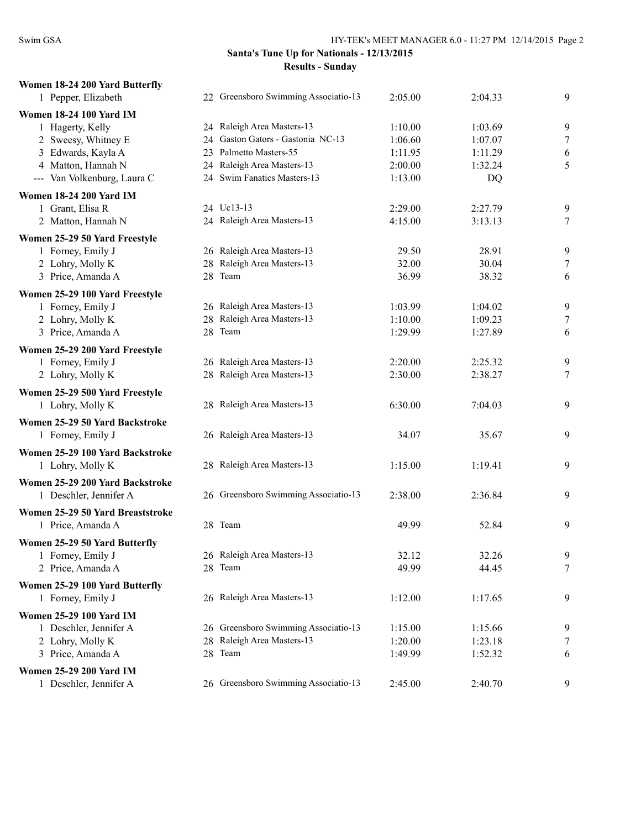| Women 18-24 200 Yard Butterfly<br>1 Pepper, Elizabeth | 22 Greensboro Swimming Associatio-13                               | 2:05.00            | 2:04.33            | 9      |
|-------------------------------------------------------|--------------------------------------------------------------------|--------------------|--------------------|--------|
| <b>Women 18-24 100 Yard IM</b>                        |                                                                    |                    |                    |        |
| 1 Hagerty, Kelly                                      | 24 Raleigh Area Masters-13                                         | 1:10.00            | 1:03.69            | 9      |
| 2 Sweesy, Whitney E                                   | 24 Gaston Gators - Gastonia NC-13                                  | 1:06.60            | 1:07.07            | $\tau$ |
| 3 Edwards, Kayla A                                    | 23 Palmetto Masters-55                                             | 1:11.95            | 1:11.29            | 6      |
| 4 Matton, Hannah N                                    | 24 Raleigh Area Masters-13                                         | 2:00.00            | 1:32.24            | 5      |
| --- Van Volkenburg, Laura C                           | 24 Swim Fanatics Masters-13                                        | 1:13.00            | DQ                 |        |
| <b>Women 18-24 200 Yard IM</b>                        |                                                                    |                    |                    |        |
| 1 Grant, Elisa R                                      | 24 Uc13-13                                                         | 2:29.00            | 2:27.79            | 9      |
| 2 Matton, Hannah N                                    | 24 Raleigh Area Masters-13                                         | 4:15.00            | 3:13.13            | 7      |
| Women 25-29 50 Yard Freestyle                         |                                                                    |                    |                    |        |
| 1 Forney, Emily J                                     | 26 Raleigh Area Masters-13                                         | 29.50              | 28.91              | 9      |
| 2 Lohry, Molly K                                      | 28 Raleigh Area Masters-13                                         | 32.00              | 30.04              | $\tau$ |
| 3 Price, Amanda A                                     | 28 Team                                                            | 36.99              | 38.32              | 6      |
| Women 25-29 100 Yard Freestyle                        |                                                                    |                    |                    |        |
| 1 Forney, Emily J                                     | 26 Raleigh Area Masters-13                                         | 1:03.99            | 1:04.02            | 9      |
| 2 Lohry, Molly K                                      | 28 Raleigh Area Masters-13                                         | 1:10.00            | 1:09.23            | $\tau$ |
| 3 Price, Amanda A                                     | 28 Team                                                            | 1:29.99            | 1:27.89            | 6      |
| Women 25-29 200 Yard Freestyle                        |                                                                    |                    |                    |        |
| 1 Forney, Emily J                                     | 26 Raleigh Area Masters-13                                         | 2:20.00            | 2:25.32            | 9      |
| 2 Lohry, Molly K                                      | 28 Raleigh Area Masters-13                                         | 2:30.00            | 2:38.27            | 7      |
|                                                       |                                                                    |                    |                    |        |
| Women 25-29 500 Yard Freestyle<br>1 Lohry, Molly K    | 28 Raleigh Area Masters-13                                         | 6:30.00            | 7:04.03            | 9      |
|                                                       |                                                                    |                    |                    |        |
| Women 25-29 50 Yard Backstroke                        |                                                                    |                    |                    |        |
| 1 Forney, Emily J                                     | 26 Raleigh Area Masters-13                                         | 34.07              | 35.67              | 9      |
| Women 25-29 100 Yard Backstroke                       |                                                                    |                    |                    |        |
| 1 Lohry, Molly K                                      | 28 Raleigh Area Masters-13                                         | 1:15.00            | 1:19.41            | 9      |
| Women 25-29 200 Yard Backstroke                       |                                                                    |                    |                    |        |
| 1 Deschler, Jennifer A                                | 26 Greensboro Swimming Associatio-13                               | 2:38.00            | 2:36.84            | 9      |
| Women 25-29 50 Yard Breaststroke                      |                                                                    |                    |                    |        |
| 1 Price, Amanda A                                     | 28 Team                                                            | 49.99              | 52.84              | 9      |
| Women 25-29 50 Yard Butterfly                         |                                                                    |                    |                    |        |
| 1 Forney, Emily J                                     | 26 Raleigh Area Masters-13                                         | 32.12              | 32.26              | 9      |
| 2 Price, Amanda A                                     | 28 Team                                                            | 49.99              | 44.45              | 7      |
| Women 25-29 100 Yard Butterfly                        |                                                                    |                    |                    |        |
| 1 Forney, Emily J                                     | 26 Raleigh Area Masters-13                                         | 1:12.00            | 1:17.65            | 9      |
|                                                       |                                                                    |                    |                    |        |
| Women 25-29 100 Yard IM                               |                                                                    |                    |                    |        |
| 1 Deschler, Jennifer A<br>2 Lohry, Molly K            | 26 Greensboro Swimming Associatio-13<br>28 Raleigh Area Masters-13 | 1:15.00<br>1:20.00 | 1:15.66<br>1:23.18 | 9<br>7 |
| 3 Price, Amanda A                                     | 28 Team                                                            | 1:49.99            | 1:52.32            | 6      |
|                                                       |                                                                    |                    |                    |        |
| <b>Women 25-29 200 Yard IM</b>                        |                                                                    |                    |                    |        |
| 1 Deschler, Jennifer A                                | 26 Greensboro Swimming Associatio-13                               | 2:45.00            | 2:40.70            | 9      |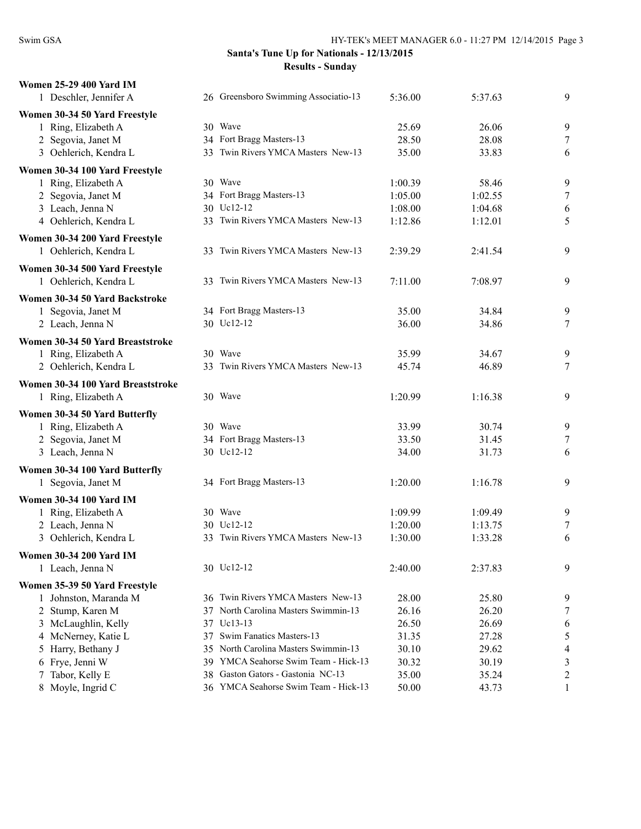| <b>Women 25-29 400 Yard IM</b>                       |     |                                                                  |                    |                    |                     |
|------------------------------------------------------|-----|------------------------------------------------------------------|--------------------|--------------------|---------------------|
| 1 Deschler, Jennifer A                               |     | 26 Greensboro Swimming Associatio-13                             | 5:36.00            | 5:37.63            | 9                   |
| Women 30-34 50 Yard Freestyle                        |     |                                                                  |                    |                    |                     |
| 1 Ring, Elizabeth A                                  |     | 30 Wave                                                          | 25.69              | 26.06              | 9                   |
| 2 Segovia, Janet M                                   |     | 34 Fort Bragg Masters-13                                         | 28.50              | 28.08              | $\tau$              |
| 3 Oehlerich, Kendra L                                |     | 33 Twin Rivers YMCA Masters New-13                               | 35.00              | 33.83              | 6                   |
| Women 30-34 100 Yard Freestyle                       |     |                                                                  |                    |                    |                     |
| 1 Ring, Elizabeth A                                  |     | 30 Wave                                                          | 1:00.39            | 58.46              | 9                   |
| 2 Segovia, Janet M                                   |     | 34 Fort Bragg Masters-13                                         | 1:05.00            | 1:02.55            | 7                   |
| 3 Leach, Jenna N                                     |     | 30 Uc12-12                                                       | 1:08.00            | 1:04.68            | 6                   |
| 4 Oehlerich, Kendra L                                |     | 33 Twin Rivers YMCA Masters New-13                               | 1:12.86            | 1:12.01            | 5                   |
| Women 30-34 200 Yard Freestyle                       |     |                                                                  |                    |                    |                     |
| 1 Oehlerich, Kendra L                                |     | 33 Twin Rivers YMCA Masters New-13                               | 2:39.29            | 2:41.54            | 9                   |
| Women 30-34 500 Yard Freestyle                       |     |                                                                  |                    |                    |                     |
| 1 Oehlerich, Kendra L                                |     | 33 Twin Rivers YMCA Masters New-13                               | 7:11.00            | 7:08.97            | 9                   |
| Women 30-34 50 Yard Backstroke                       |     |                                                                  |                    |                    |                     |
| 1 Segovia, Janet M                                   |     | 34 Fort Bragg Masters-13                                         | 35.00              | 34.84              | 9                   |
| 2 Leach, Jenna N                                     |     | 30 Uc12-12                                                       | 36.00              | 34.86              | $\overline{7}$      |
| Women 30-34 50 Yard Breaststroke                     |     |                                                                  |                    |                    |                     |
| 1 Ring, Elizabeth A                                  |     | 30 Wave                                                          | 35.99              | 34.67              | 9                   |
| 2 Oehlerich, Kendra L                                |     | 33 Twin Rivers YMCA Masters New-13                               | 45.74              | 46.89              | 7                   |
| Women 30-34 100 Yard Breaststroke                    |     |                                                                  |                    |                    |                     |
| 1 Ring, Elizabeth A                                  |     | 30 Wave                                                          | 1:20.99            | 1:16.38            | 9                   |
|                                                      |     |                                                                  |                    |                    |                     |
| Women 30-34 50 Yard Butterfly<br>1 Ring, Elizabeth A |     | 30 Wave                                                          | 33.99              | 30.74              | 9                   |
| 2 Segovia, Janet M                                   |     | 34 Fort Bragg Masters-13                                         | 33.50              | 31.45              | 7                   |
| 3 Leach, Jenna N                                     |     | 30 Uc12-12                                                       | 34.00              | 31.73              | 6                   |
|                                                      |     |                                                                  |                    |                    |                     |
| Women 30-34 100 Yard Butterfly<br>1 Segovia, Janet M |     | 34 Fort Bragg Masters-13                                         | 1:20.00            | 1:16.78            | 9                   |
|                                                      |     |                                                                  |                    |                    |                     |
| <b>Women 30-34 100 Yard IM</b>                       |     |                                                                  |                    |                    |                     |
| 1 Ring, Elizabeth A                                  |     | 30 Wave<br>30 Uc12-12                                            | 1:09.99            | 1:09.49            | 9                   |
| 2 Leach, Jenna N<br>3 Oehlerich, Kendra L            |     | 33 Twin Rivers YMCA Masters New-13                               | 1:20.00<br>1:30.00 | 1:13.75<br>1:33.28 | 7<br>6              |
|                                                      |     |                                                                  |                    |                    |                     |
| <b>Women 30-34 200 Yard IM</b>                       |     |                                                                  |                    |                    |                     |
| 1 Leach, Jenna N                                     |     | 30 Uc12-12                                                       | 2:40.00            | 2:37.83            | 9                   |
| Women 35-39 50 Yard Freestyle                        |     |                                                                  |                    |                    |                     |
| 1 Johnston, Maranda M                                |     | 36 Twin Rivers YMCA Masters New-13                               | 28.00              | 25.80              | 9                   |
| 2 Stump, Karen M                                     |     | 37 North Carolina Masters Swimmin-13                             | 26.16              | 26.20              | 7                   |
| 3 McLaughlin, Kelly                                  |     | 37 Uc13-13                                                       | 26.50              | 26.69              | 6                   |
| 4 McNerney, Katie L                                  |     | 37 Swim Fanatics Masters-13<br>North Carolina Masters Swimmin-13 | 31.35              | 27.28              | 5                   |
| 5 Harry, Bethany J<br>6 Frye, Jenni W                | 35  | 39 YMCA Seahorse Swim Team - Hick-13                             | 30.10<br>30.32     | 29.62<br>30.19     | 4<br>$\mathfrak{Z}$ |
| 7 Tabor, Kelly E                                     | 38. | Gaston Gators - Gastonia NC-13                                   | 35.00              | 35.24              | $\overline{c}$      |
| 8 Moyle, Ingrid C                                    |     | 36 YMCA Seahorse Swim Team - Hick-13                             | 50.00              | 43.73              | 1                   |
|                                                      |     |                                                                  |                    |                    |                     |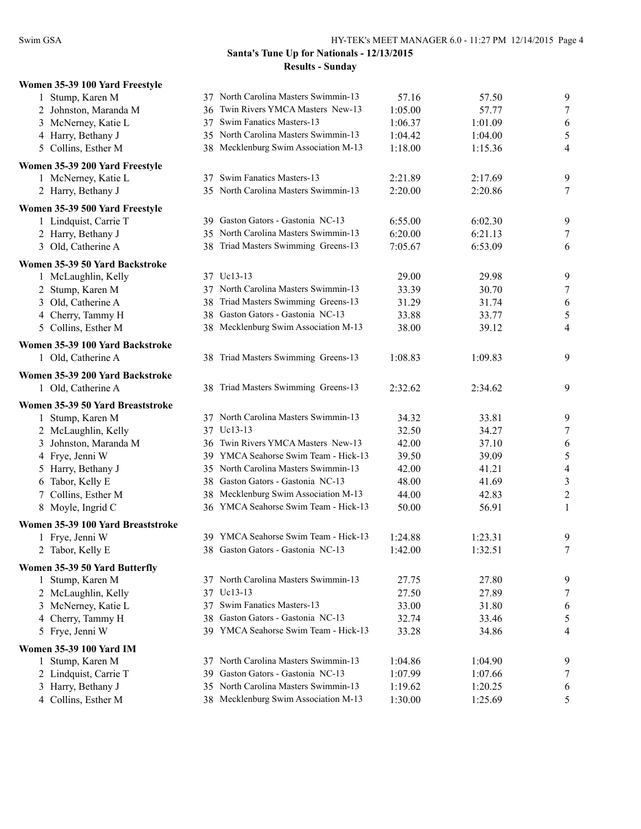| Women 35-39 100 Yard Freestyle    |     |                                      |         |         |                |
|-----------------------------------|-----|--------------------------------------|---------|---------|----------------|
| 1 Stump, Karen M                  |     | 37 North Carolina Masters Swimmin-13 | 57.16   | 57.50   | 9              |
| 2 Johnston, Maranda M             |     | 36 Twin Rivers YMCA Masters New-13   | 1:05.00 | 57.77   | 7              |
| 3 McNerney, Katie L               |     | 37 Swim Fanatics Masters-13          | 1:06.37 | 1:01.09 | 6              |
| 4 Harry, Bethany J                |     | 35 North Carolina Masters Swimmin-13 | 1:04.42 | 1:04.00 | 5              |
| 5 Collins, Esther M               |     | 38 Mecklenburg Swim Association M-13 | 1:18.00 | 1:15.36 | 4              |
| Women 35-39 200 Yard Freestyle    |     |                                      |         |         |                |
| 1 McNerney, Katie L               |     | 37 Swim Fanatics Masters-13          | 2:21.89 | 2:17.69 | 9              |
| 2 Harry, Bethany J                |     | 35 North Carolina Masters Swimmin-13 | 2:20.00 | 2:20.86 | 7              |
| Women 35-39 500 Yard Freestyle    |     |                                      |         |         |                |
| 1 Lindquist, Carrie T             |     | 39 Gaston Gators - Gastonia NC-13    | 6:55.00 | 6:02.30 | 9              |
| 2 Harry, Bethany J                |     | 35 North Carolina Masters Swimmin-13 | 6:20.00 | 6:21.13 | 7              |
| 3 Old, Catherine A                |     | 38 Triad Masters Swimming Greens-13  | 7:05.67 | 6:53.09 | 6              |
| Women 35-39 50 Yard Backstroke    |     |                                      |         |         |                |
| 1 McLaughlin, Kelly               |     | 37 Uc13-13                           | 29.00   | 29.98   | 9              |
| 2 Stump, Karen M                  |     | 37 North Carolina Masters Swimmin-13 | 33.39   | 30.70   | 7              |
| 3 Old, Catherine A                |     | 38 Triad Masters Swimming Greens-13  | 31.29   | 31.74   | 6              |
| 4 Cherry, Tammy H                 |     | 38 Gaston Gators - Gastonia NC-13    | 33.88   | 33.77   | 5              |
| 5 Collins, Esther M               |     | 38 Mecklenburg Swim Association M-13 | 38.00   | 39.12   | 4              |
| Women 35-39 100 Yard Backstroke   |     |                                      |         |         |                |
| 1 Old, Catherine A                |     | 38 Triad Masters Swimming Greens-13  | 1:08.83 | 1:09.83 | 9              |
| Women 35-39 200 Yard Backstroke   |     |                                      |         |         |                |
| 1 Old, Catherine A                |     | 38 Triad Masters Swimming Greens-13  | 2:32.62 | 2:34.62 | 9              |
| Women 35-39 50 Yard Breaststroke  |     |                                      |         |         |                |
| 1 Stump, Karen M                  |     | 37 North Carolina Masters Swimmin-13 | 34.32   | 33.81   | 9              |
| 2 McLaughlin, Kelly               |     | 37 Uc13-13                           | 32.50   | 34.27   | $\tau$         |
| 3 Johnston, Maranda M             |     | 36 Twin Rivers YMCA Masters New-13   | 42.00   | 37.10   | 6              |
| 4 Frye, Jenni W                   |     | 39 YMCA Seahorse Swim Team - Hick-13 | 39.50   | 39.09   | $\sqrt{5}$     |
| 5 Harry, Bethany J                | 35  | North Carolina Masters Swimmin-13    | 42.00   | 41.21   | $\overline{4}$ |
| 6 Tabor, Kelly E                  | 38  | Gaston Gators - Gastonia NC-13       | 48.00   | 41.69   | $\sqrt{3}$     |
| 7 Collins, Esther M               |     | 38 Mecklenburg Swim Association M-13 | 44.00   | 42.83   | $\overline{c}$ |
| 8 Moyle, Ingrid C                 |     | 36 YMCA Seahorse Swim Team - Hick-13 | 50.00   | 56.91   | 1              |
| Women 35-39 100 Yard Breaststroke |     |                                      |         |         |                |
| 1 Frye, Jenni W                   |     | 39 YMCA Seahorse Swim Team - Hick-13 | 1:24.88 | 1:23.31 | 9              |
| 2 Tabor, Kelly E                  |     | 38 Gaston Gators - Gastonia NC-13    | 1:42.00 | 1:32.51 | $\tau$         |
| Women 35-39 50 Yard Butterfly     |     |                                      |         |         |                |
| 1 Stump, Karen M                  |     | 37 North Carolina Masters Swimmin-13 | 27.75   | 27.80   | 9              |
| 2 McLaughlin, Kelly               |     | 37 Uc13-13                           | 27.50   | 27.89   | 7              |
| 3 McNerney, Katie L               | 37  | Swim Fanatics Masters-13             | 33.00   | 31.80   | 6              |
| 4 Cherry, Tammy H                 | 38  | Gaston Gators - Gastonia NC-13       | 32.74   | 33.46   | 5              |
| 5 Frye, Jenni W                   |     | 39 YMCA Seahorse Swim Team - Hick-13 | 33.28   | 34.86   | 4              |
| <b>Women 35-39 100 Yard IM</b>    |     |                                      |         |         |                |
| 1 Stump, Karen M                  |     | 37 North Carolina Masters Swimmin-13 | 1:04.86 | 1:04.90 | 9              |
| 2 Lindquist, Carrie T             | 39. | Gaston Gators - Gastonia NC-13       | 1:07.99 | 1:07.66 | 7              |
| 3 Harry, Bethany J                |     | 35 North Carolina Masters Swimmin-13 | 1:19.62 | 1:20.25 | 6              |
| 4 Collins, Esther M               |     | 38 Mecklenburg Swim Association M-13 | 1:30.00 | 1:25.69 | 5              |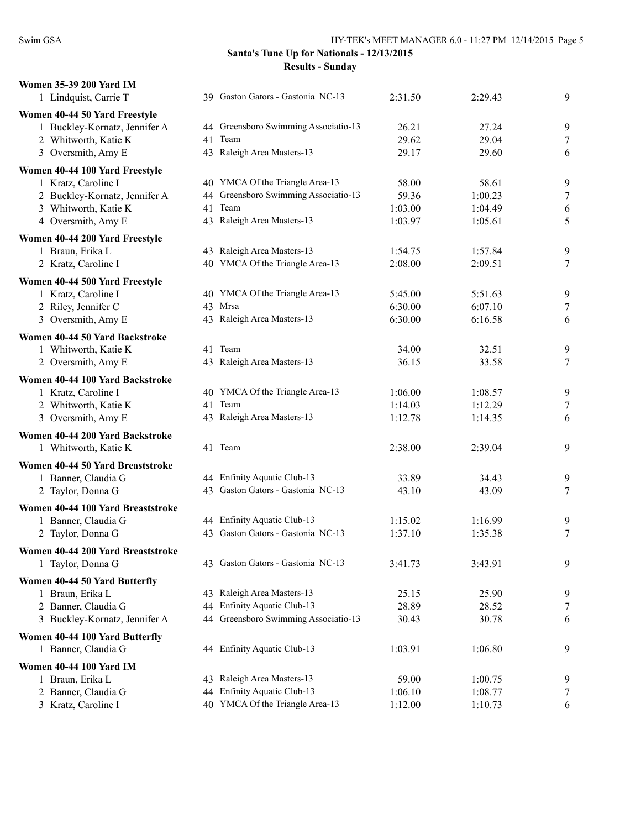| <b>Women 35-39 200 Yard IM</b>          |    |                                      |         |         |                |
|-----------------------------------------|----|--------------------------------------|---------|---------|----------------|
| 1 Lindquist, Carrie T                   |    | 39 Gaston Gators - Gastonia NC-13    | 2:31.50 | 2:29.43 | 9              |
| Women 40-44 50 Yard Freestyle           |    |                                      |         |         |                |
| 1 Buckley-Kornatz, Jennifer A           |    | 44 Greensboro Swimming Associatio-13 | 26.21   | 27.24   | 9              |
| 2 Whitworth, Katie K                    | 41 | Team                                 | 29.62   | 29.04   | 7              |
| 3 Oversmith, Amy E                      |    | 43 Raleigh Area Masters-13           | 29.17   | 29.60   | 6              |
| Women 40-44 100 Yard Freestyle          |    |                                      |         |         |                |
| 1 Kratz, Caroline I                     |    | 40 YMCA Of the Triangle Area-13      | 58.00   | 58.61   | 9              |
| 2 Buckley-Kornatz, Jennifer A           |    | 44 Greensboro Swimming Associatio-13 | 59.36   | 1:00.23 | 7              |
| 3 Whitworth, Katie K                    | 41 | Team                                 | 1:03.00 | 1:04.49 | 6              |
| 4 Oversmith, Amy E                      |    | 43 Raleigh Area Masters-13           | 1:03.97 | 1:05.61 | 5              |
| Women 40-44 200 Yard Freestyle          |    |                                      |         |         |                |
| 1 Braun, Erika L                        |    | 43 Raleigh Area Masters-13           | 1:54.75 | 1:57.84 | 9              |
| 2 Kratz, Caroline I                     |    | 40 YMCA Of the Triangle Area-13      | 2:08.00 | 2:09.51 | $\tau$         |
| Women 40-44 500 Yard Freestyle          |    |                                      |         |         |                |
| 1 Kratz, Caroline I                     |    | 40 YMCA Of the Triangle Area-13      | 5:45.00 | 5:51.63 | 9              |
| 2 Riley, Jennifer C                     |    | 43 Mrsa                              | 6:30.00 | 6:07.10 | 7              |
| 3 Oversmith, Amy E                      |    | 43 Raleigh Area Masters-13           | 6:30.00 | 6:16.58 | 6              |
| Women 40-44 50 Yard Backstroke          |    |                                      |         |         |                |
| 1 Whitworth, Katie K                    |    | 41 Team                              | 34.00   | 32.51   | 9              |
| 2 Oversmith, Amy E                      |    | 43 Raleigh Area Masters-13           | 36.15   | 33.58   | 7              |
| Women 40-44 100 Yard Backstroke         |    |                                      |         |         |                |
| 1 Kratz, Caroline I                     |    | 40 YMCA Of the Triangle Area-13      | 1:06.00 | 1:08.57 | 9              |
| 2 Whitworth, Katie K                    | 41 | Team                                 | 1:14.03 | 1:12.29 | 7              |
| 3 Oversmith, Amy E                      |    | 43 Raleigh Area Masters-13           | 1:12.78 | 1:14.35 | 6              |
| Women 40-44 200 Yard Backstroke         |    |                                      |         |         |                |
| 1 Whitworth, Katie K                    |    | 41 Team                              | 2:38.00 | 2:39.04 | 9              |
| Women 40-44 50 Yard Breaststroke        |    |                                      |         |         |                |
| 1 Banner, Claudia G                     |    | 44 Enfinity Aquatic Club-13          | 33.89   | 34.43   | 9              |
| 2 Taylor, Donna G                       |    | 43 Gaston Gators - Gastonia NC-13    | 43.10   | 43.09   | 7              |
| Women 40-44 100 Yard Breaststroke       |    |                                      |         |         |                |
| 1 Banner, Claudia G                     |    | 44 Enfinity Aquatic Club-13          | 1:15.02 | 1:16.99 | 9              |
| 2 Taylor, Donna G                       |    | 43 Gaston Gators - Gastonia NC-13    | 1:37.10 | 1:35.38 | $\overline{7}$ |
| Women 40-44 200 Yard Breaststroke       |    |                                      |         |         |                |
| 1 Taylor, Donna G                       |    | 43 Gaston Gators - Gastonia NC-13    | 3:41.73 | 3:43.91 | 9              |
|                                         |    |                                      |         |         |                |
| Women 40-44 50 Yard Butterfly           |    | 43 Raleigh Area Masters-13           | 25.15   | 25.90   |                |
| 1 Braun, Erika L<br>2 Banner, Claudia G | 44 | Enfinity Aquatic Club-13             | 28.89   | 28.52   | 9<br>7         |
| 3 Buckley-Kornatz, Jennifer A           |    | 44 Greensboro Swimming Associatio-13 | 30.43   | 30.78   | 6              |
|                                         |    |                                      |         |         |                |
| Women 40-44 100 Yard Butterfly          |    |                                      |         |         |                |
| 1 Banner, Claudia G                     |    | 44 Enfinity Aquatic Club-13          | 1:03.91 | 1:06.80 | 9              |
| <b>Women 40-44 100 Yard IM</b>          |    |                                      |         |         |                |
| 1 Braun, Erika L                        |    | 43 Raleigh Area Masters-13           | 59.00   | 1:00.75 | 9              |
| 2 Banner, Claudia G                     | 44 | Enfinity Aquatic Club-13             | 1:06.10 | 1:08.77 | 7              |
| 3 Kratz, Caroline I                     |    | 40 YMCA Of the Triangle Area-13      | 1:12.00 | 1:10.73 | 6              |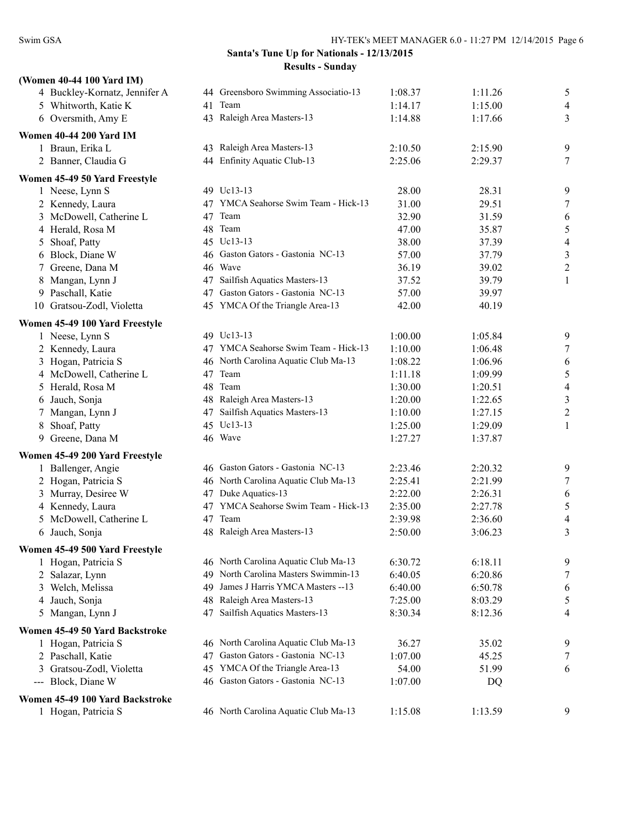| (Women 40-44 100 Yard IM)                    |     |                                      |         |         |                          |
|----------------------------------------------|-----|--------------------------------------|---------|---------|--------------------------|
| 4 Buckley-Kornatz, Jennifer A                |     | 44 Greensboro Swimming Associatio-13 | 1:08.37 | 1:11.26 | 5                        |
| 5 Whitworth, Katie K                         | 41  | Team                                 | 1:14.17 | 1:15.00 | 4                        |
| 6 Oversmith, Amy E                           |     | 43 Raleigh Area Masters-13           | 1:14.88 | 1:17.66 | 3                        |
| <b>Women 40-44 200 Yard IM</b>               |     |                                      |         |         |                          |
| 1 Braun, Erika L                             |     | 43 Raleigh Area Masters-13           | 2:10.50 | 2:15.90 | 9                        |
| 2 Banner, Claudia G                          |     | 44 Enfinity Aquatic Club-13          | 2:25.06 | 2:29.37 | 7                        |
|                                              |     |                                      |         |         |                          |
| Women 45-49 50 Yard Freestyle                |     |                                      |         |         |                          |
| 1 Neese, Lynn S                              |     | 49 Uc13-13                           | 28.00   | 28.31   | 9                        |
| 2 Kennedy, Laura                             |     | 47 YMCA Seahorse Swim Team - Hick-13 | 31.00   | 29.51   | 7                        |
| 3 McDowell, Catherine L                      | 47  | Team                                 | 32.90   | 31.59   | 6                        |
| 4 Herald, Rosa M                             |     | 48 Team                              | 47.00   | 35.87   | 5                        |
| 5 Shoaf, Patty                               |     | 45 Uc13-13                           | 38.00   | 37.39   | $\overline{\mathcal{A}}$ |
| 6 Block, Diane W                             |     | 46 Gaston Gators - Gastonia NC-13    | 57.00   | 37.79   | $\mathfrak{Z}$           |
| 7 Greene, Dana M                             |     | 46 Wave                              | 36.19   | 39.02   | $\overline{c}$           |
| 8 Mangan, Lynn J                             |     | 47 Sailfish Aquatics Masters-13      | 37.52   | 39.79   | 1                        |
| 9 Paschall, Katie                            |     | 47 Gaston Gators - Gastonia NC-13    | 57.00   | 39.97   |                          |
| 10 Gratsou-Zodl, Violetta                    |     | 45 YMCA Of the Triangle Area-13      | 42.00   | 40.19   |                          |
| Women 45-49 100 Yard Freestyle               |     |                                      |         |         |                          |
| 1 Neese, Lynn S                              |     | 49 Uc13-13                           | 1:00.00 | 1:05.84 | 9                        |
| 2 Kennedy, Laura                             |     | 47 YMCA Seahorse Swim Team - Hick-13 | 1:10.00 | 1:06.48 | $\tau$                   |
| 3 Hogan, Patricia S                          |     | 46 North Carolina Aquatic Club Ma-13 | 1:08.22 | 1:06.96 | 6                        |
| 4 McDowell, Catherine L                      |     | 47 Team                              | 1:11.18 | 1:09.99 | 5                        |
| 5 Herald, Rosa M                             |     | 48 Team                              | 1:30.00 | 1:20.51 | $\overline{\mathcal{A}}$ |
| Jauch, Sonja<br>6                            |     | 48 Raleigh Area Masters-13           | 1:20.00 | 1:22.65 | $\mathfrak{Z}$           |
| 7 Mangan, Lynn J                             | 47  | Sailfish Aquatics Masters-13         | 1:10.00 | 1:27.15 | $\overline{2}$           |
| Shoaf, Patty<br>8                            |     | 45 Uc13-13                           | 1:25.00 | 1:29.09 | 1                        |
| 9 Greene, Dana M                             |     | 46 Wave                              | 1:27.27 | 1:37.87 |                          |
| Women 45-49 200 Yard Freestyle               |     |                                      |         |         |                          |
| 1 Ballenger, Angie                           |     | 46 Gaston Gators - Gastonia NC-13    | 2:23.46 | 2:20.32 | 9                        |
| 2 Hogan, Patricia S                          |     | 46 North Carolina Aquatic Club Ma-13 | 2:25.41 | 2:21.99 | $\tau$                   |
| 3 Murray, Desiree W                          |     | 47 Duke Aquatics-13                  | 2:22.00 | 2:26.31 | 6                        |
| 4 Kennedy, Laura                             |     | 47 YMCA Seahorse Swim Team - Hick-13 | 2:35.00 | 2:27.78 | 5                        |
| 5 McDowell, Catherine L                      | 47  | Team                                 | 2:39.98 | 2:36.60 | 4                        |
| 6 Jauch, Sonja                               |     | 48 Raleigh Area Masters-13           | 2:50.00 | 3:06.23 | 3                        |
| Women 45-49 500 Yard Freestyle               |     |                                      |         |         |                          |
| 1 Hogan, Patricia S                          |     | 46 North Carolina Aquatic Club Ma-13 | 6:30.72 | 6:18.11 | 9                        |
| 2 Salazar, Lynn                              | 49. | North Carolina Masters Swimmin-13    | 6:40.05 | 6:20.86 | 7                        |
| 3 Welch, Melissa                             | 49  | James J Harris YMCA Masters --13     | 6:40.00 | 6:50.78 | 6                        |
| 4 Jauch, Sonja                               |     | 48 Raleigh Area Masters-13           | 7:25.00 | 8:03.29 | 5                        |
| 5 Mangan, Lynn J                             | 47  | Sailfish Aquatics Masters-13         | 8:30.34 | 8:12.36 | 4                        |
|                                              |     |                                      |         |         |                          |
| Women 45-49 50 Yard Backstroke               |     |                                      |         |         |                          |
| 1 Hogan, Patricia S                          |     | 46 North Carolina Aquatic Club Ma-13 | 36.27   | 35.02   | 9                        |
| 2 Paschall, Katie                            | 47  | Gaston Gators - Gastonia NC-13       | 1:07.00 | 45.25   | 7                        |
| 3 Gratsou-Zodl, Violetta                     |     | 45 YMCA Of the Triangle Area-13      | 54.00   | 51.99   | 6                        |
| Block, Diane W<br>$\qquad \qquad - \qquad -$ |     | 46 Gaston Gators - Gastonia NC-13    | 1:07.00 | DQ      |                          |
| Women 45-49 100 Yard Backstroke              |     |                                      |         |         |                          |
| 1 Hogan, Patricia S                          |     | 46 North Carolina Aquatic Club Ma-13 | 1:15.08 | 1:13.59 | 9                        |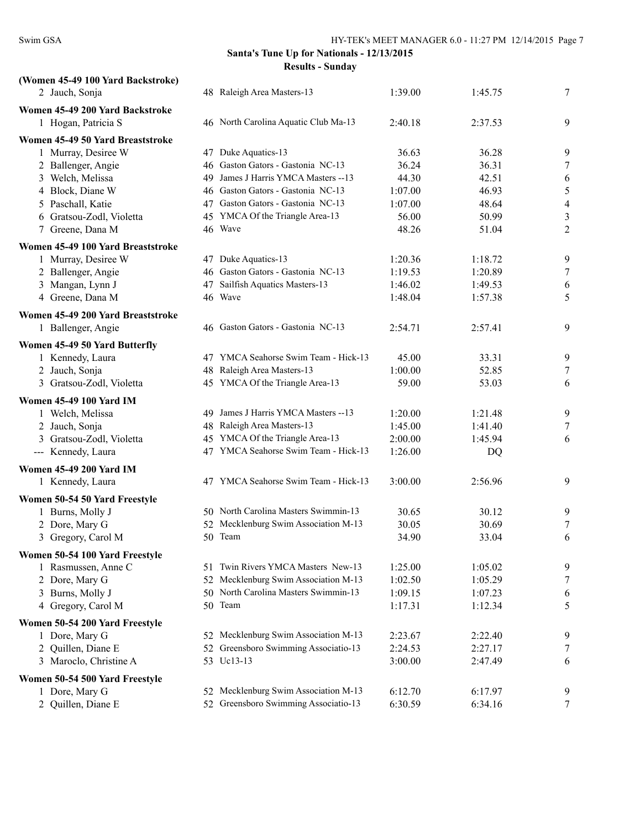| (Women 45-49 100 Yard Backstroke) |     |                                      |         |         |                          |
|-----------------------------------|-----|--------------------------------------|---------|---------|--------------------------|
| 2 Jauch, Sonja                    |     | 48 Raleigh Area Masters-13           | 1:39.00 | 1:45.75 | 7                        |
| Women 45-49 200 Yard Backstroke   |     |                                      |         |         |                          |
| 1 Hogan, Patricia S               |     | 46 North Carolina Aquatic Club Ma-13 | 2:40.18 | 2:37.53 | 9                        |
| Women 45-49 50 Yard Breaststroke  |     |                                      |         |         |                          |
| 1 Murray, Desiree W               |     | 47 Duke Aquatics-13                  | 36.63   | 36.28   | 9                        |
| 2 Ballenger, Angie                |     | 46 Gaston Gators - Gastonia NC-13    | 36.24   | 36.31   | 7                        |
| 3 Welch, Melissa                  | 49  | James J Harris YMCA Masters -- 13    | 44.30   | 42.51   | 6                        |
| 4 Block, Diane W                  |     | 46 Gaston Gators - Gastonia NC-13    | 1:07.00 | 46.93   | 5                        |
| 5 Paschall, Katie                 |     | 47 Gaston Gators - Gastonia NC-13    | 1:07.00 | 48.64   | $\overline{\mathcal{L}}$ |
| 6 Gratsou-Zodl, Violetta          |     | 45 YMCA Of the Triangle Area-13      | 56.00   | 50.99   | $\sqrt{3}$               |
| 7 Greene, Dana M                  |     | 46 Wave                              | 48.26   | 51.04   | 2                        |
| Women 45-49 100 Yard Breaststroke |     |                                      |         |         |                          |
| 1 Murray, Desiree W               |     | 47 Duke Aquatics-13                  | 1:20.36 | 1:18.72 | 9                        |
| 2 Ballenger, Angie                |     | 46 Gaston Gators - Gastonia NC-13    | 1:19.53 | 1:20.89 | $\tau$                   |
| 3 Mangan, Lynn J                  |     | 47 Sailfish Aquatics Masters-13      | 1:46.02 | 1:49.53 | 6                        |
| 4 Greene, Dana M                  |     | 46 Wave                              | 1:48.04 | 1:57.38 | 5                        |
| Women 45-49 200 Yard Breaststroke |     |                                      |         |         |                          |
| 1 Ballenger, Angie                |     | 46 Gaston Gators - Gastonia NC-13    | 2:54.71 | 2:57.41 | 9                        |
|                                   |     |                                      |         |         |                          |
| Women 45-49 50 Yard Butterfly     |     |                                      |         |         |                          |
| 1 Kennedy, Laura                  |     | 47 YMCA Seahorse Swim Team - Hick-13 | 45.00   | 33.31   | 9                        |
| 2 Jauch, Sonja                    |     | 48 Raleigh Area Masters-13           | 1:00.00 | 52.85   | 7                        |
| 3 Gratsou-Zodl, Violetta          |     | 45 YMCA Of the Triangle Area-13      | 59.00   | 53.03   | 6                        |
| <b>Women 45-49 100 Yard IM</b>    |     |                                      |         |         |                          |
| 1 Welch, Melissa                  | 49. | James J Harris YMCA Masters -- 13    | 1:20.00 | 1:21.48 | 9                        |
| 2 Jauch, Sonja                    |     | 48 Raleigh Area Masters-13           | 1:45.00 | 1:41.40 | 7                        |
| 3 Gratsou-Zodl, Violetta          |     | 45 YMCA Of the Triangle Area-13      | 2:00.00 | 1:45.94 | 6                        |
| --- Kennedy, Laura                |     | 47 YMCA Seahorse Swim Team - Hick-13 | 1:26.00 | DQ      |                          |
| <b>Women 45-49 200 Yard IM</b>    |     |                                      |         |         |                          |
| 1 Kennedy, Laura                  |     | 47 YMCA Seahorse Swim Team - Hick-13 | 3:00.00 | 2:56.96 | 9                        |
| Women 50-54 50 Yard Freestyle     |     |                                      |         |         |                          |
| 1 Burns, Molly J                  |     | 50 North Carolina Masters Swimmin-13 | 30.65   | 30.12   | 9                        |
| 2 Dore, Mary G                    |     | 52 Mecklenburg Swim Association M-13 | 30.05   | 30.69   | 7                        |
| 3 Gregory, Carol M                |     | 50 Team                              | 34.90   | 33.04   | 6                        |
| Women 50-54 100 Yard Freestyle    |     |                                      |         |         |                          |
| 1 Rasmussen, Anne C               |     | 51 Twin Rivers YMCA Masters New-13   | 1:25.00 | 1:05.02 | 9                        |
| 2 Dore, Mary G                    |     | 52 Mecklenburg Swim Association M-13 | 1:02.50 | 1:05.29 | 7                        |
| 3 Burns, Molly J                  |     | 50 North Carolina Masters Swimmin-13 | 1:09.15 | 1:07.23 | 6                        |
| 4 Gregory, Carol M                |     | 50 Team                              | 1:17.31 | 1:12.34 | 5                        |
| Women 50-54 200 Yard Freestyle    |     |                                      |         |         |                          |
| 1 Dore, Mary G                    |     | 52 Mecklenburg Swim Association M-13 | 2:23.67 | 2:22.40 | 9                        |
| 2 Quillen, Diane E                |     | 52 Greensboro Swimming Associatio-13 | 2:24.53 | 2:27.17 | 7                        |
| 3 Maroclo, Christine A            |     | 53 Uc13-13                           | 3:00.00 | 2:47.49 | 6                        |
|                                   |     |                                      |         |         |                          |
| Women 50-54 500 Yard Freestyle    |     |                                      |         |         |                          |
| 1 Dore, Mary G                    |     | 52 Mecklenburg Swim Association M-13 | 6:12.70 | 6:17.97 | 9                        |
| 2 Quillen, Diane E                |     | 52 Greensboro Swimming Associatio-13 | 6:30.59 | 6:34.16 | $\tau$                   |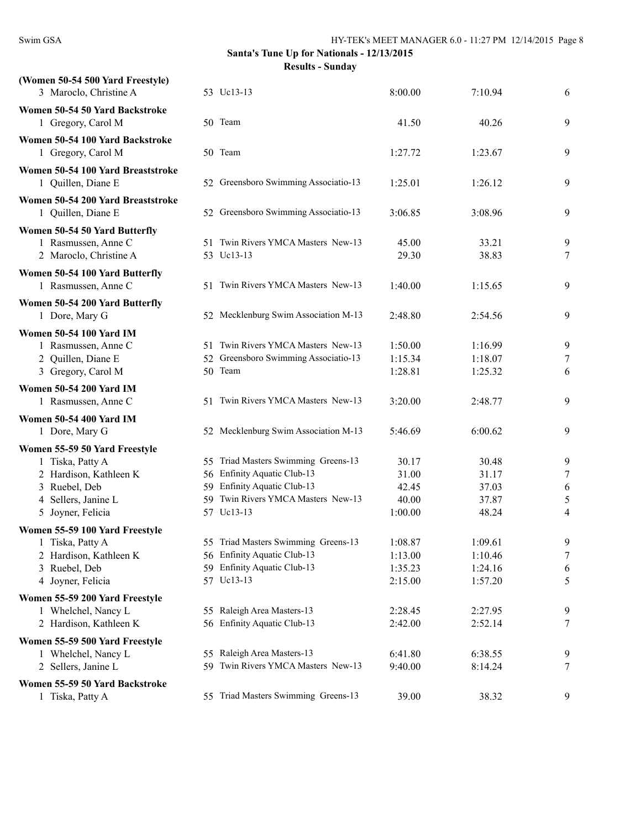| (Women 50-54 500 Yard Freestyle)<br>3 Maroclo, Christine A                                                                               | 53 Uc13-13                                                                                                                                            | 8:00.00                                     | 7:10.94                                   | 6                                                   |
|------------------------------------------------------------------------------------------------------------------------------------------|-------------------------------------------------------------------------------------------------------------------------------------------------------|---------------------------------------------|-------------------------------------------|-----------------------------------------------------|
| Women 50-54 50 Yard Backstroke<br>1 Gregory, Carol M                                                                                     | 50 Team                                                                                                                                               | 41.50                                       | 40.26                                     | 9                                                   |
| Women 50-54 100 Yard Backstroke<br>1 Gregory, Carol M                                                                                    | 50 Team                                                                                                                                               | 1:27.72                                     | 1:23.67                                   | 9                                                   |
| Women 50-54 100 Yard Breaststroke<br>1 Quillen, Diane E                                                                                  | 52 Greensboro Swimming Associatio-13                                                                                                                  | 1:25.01                                     | 1:26.12                                   | 9                                                   |
| Women 50-54 200 Yard Breaststroke<br>1 Quillen, Diane E                                                                                  | 52 Greensboro Swimming Associatio-13                                                                                                                  | 3:06.85                                     | 3:08.96                                   | 9                                                   |
| Women 50-54 50 Yard Butterfly<br>1 Rasmussen, Anne C<br>2 Maroclo, Christine A                                                           | 51 Twin Rivers YMCA Masters New-13<br>53 Uc13-13                                                                                                      | 45.00<br>29.30                              | 33.21<br>38.83                            | 9<br>7                                              |
| Women 50-54 100 Yard Butterfly<br>1 Rasmussen, Anne C                                                                                    | 51 Twin Rivers YMCA Masters New-13                                                                                                                    | 1:40.00                                     | 1:15.65                                   | 9                                                   |
| Women 50-54 200 Yard Butterfly<br>1 Dore, Mary G                                                                                         | 52 Mecklenburg Swim Association M-13                                                                                                                  | 2:48.80                                     | 2:54.56                                   | 9                                                   |
| <b>Women 50-54 100 Yard IM</b><br>1 Rasmussen, Anne C<br>2 Quillen, Diane E<br>3 Gregory, Carol M                                        | 51 Twin Rivers YMCA Masters New-13<br>52 Greensboro Swimming Associatio-13<br>50 Team                                                                 | 1:50.00<br>1:15.34<br>1:28.81               | 1:16.99<br>1:18.07<br>1:25.32             | 9<br>$\overline{7}$<br>6                            |
| <b>Women 50-54 200 Yard IM</b><br>1 Rasmussen, Anne C                                                                                    | 51 Twin Rivers YMCA Masters New-13                                                                                                                    | 3:20.00                                     | 2:48.77                                   | 9                                                   |
| <b>Women 50-54 400 Yard IM</b><br>1 Dore, Mary G                                                                                         | 52 Mecklenburg Swim Association M-13                                                                                                                  | 5:46.69                                     | 6:00.62                                   | 9                                                   |
| Women 55-59 50 Yard Freestyle<br>1 Tiska, Patty A<br>2 Hardison, Kathleen K<br>3 Ruebel, Deb<br>4 Sellers, Janine L<br>5 Joyner, Felicia | 55 Triad Masters Swimming Greens-13<br>56 Enfinity Aquatic Club-13<br>59 Enfinity Aquatic Club-13<br>59 Twin Rivers YMCA Masters New-13<br>57 Uc13-13 | 30.17<br>31.00<br>42.45<br>40.00<br>1:00.00 | 30.48<br>31.17<br>37.03<br>37.87<br>48.24 | 9<br>$\tau$<br>6<br>$\mathfrak s$<br>$\overline{4}$ |
| Women 55-59 100 Yard Freestyle<br>1 Tiska, Patty A<br>2 Hardison, Kathleen K<br>3 Ruebel, Deb<br>4 Joyner, Felicia                       | 55 Triad Masters Swimming Greens-13<br>56 Enfinity Aquatic Club-13<br>59 Enfinity Aquatic Club-13<br>57 Uc13-13                                       | 1:08.87<br>1:13.00<br>1:35.23<br>2:15.00    | 1:09.61<br>1:10.46<br>1:24.16<br>1:57.20  | 9<br>7<br>6<br>5                                    |
| Women 55-59 200 Yard Freestyle<br>1 Whelchel, Nancy L<br>2 Hardison, Kathleen K                                                          | 55 Raleigh Area Masters-13<br>56 Enfinity Aquatic Club-13                                                                                             | 2:28.45<br>2:42.00                          | 2:27.95<br>2:52.14                        | 9<br>7                                              |
| Women 55-59 500 Yard Freestyle<br>1 Whelchel, Nancy L<br>2 Sellers, Janine L                                                             | 55 Raleigh Area Masters-13<br>59 Twin Rivers YMCA Masters New-13                                                                                      | 6:41.80<br>9:40.00                          | 6:38.55<br>8:14.24                        | 9<br>7                                              |
| Women 55-59 50 Yard Backstroke<br>1 Tiska, Patty A                                                                                       | 55 Triad Masters Swimming Greens-13                                                                                                                   | 39.00                                       | 38.32                                     | 9                                                   |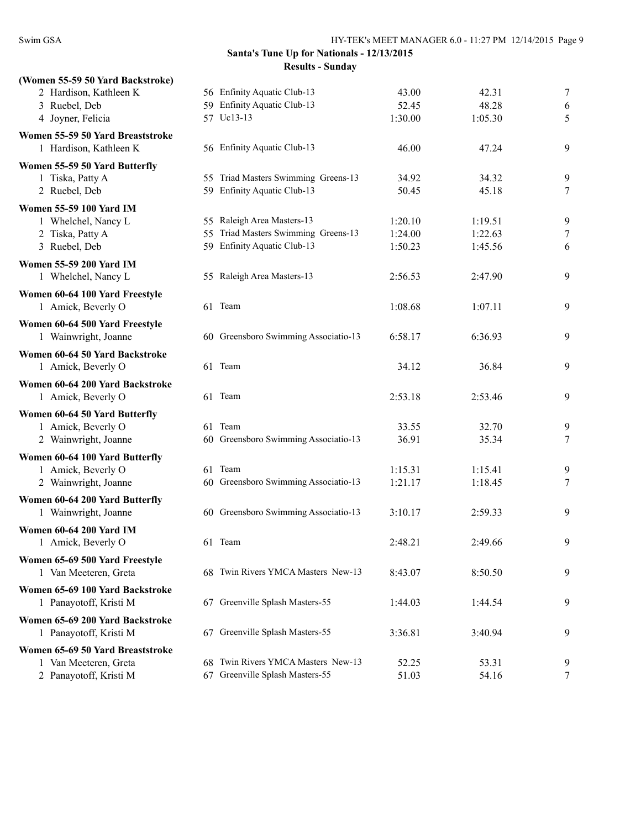| 56 Enfinity Aquatic Club-13          | 43.00                                                                                                                                                                                                                                                                                                             | 42.31                                                                                     | $\overline{7}$                                                                                       |
|--------------------------------------|-------------------------------------------------------------------------------------------------------------------------------------------------------------------------------------------------------------------------------------------------------------------------------------------------------------------|-------------------------------------------------------------------------------------------|------------------------------------------------------------------------------------------------------|
|                                      | 52.45                                                                                                                                                                                                                                                                                                             | 48.28                                                                                     | 6                                                                                                    |
|                                      | 1:30.00                                                                                                                                                                                                                                                                                                           |                                                                                           | 5                                                                                                    |
|                                      |                                                                                                                                                                                                                                                                                                                   |                                                                                           |                                                                                                      |
|                                      | 46.00                                                                                                                                                                                                                                                                                                             | 47.24                                                                                     | 9                                                                                                    |
|                                      |                                                                                                                                                                                                                                                                                                                   |                                                                                           |                                                                                                      |
| 55 Triad Masters Swimming Greens-13  | 34.92                                                                                                                                                                                                                                                                                                             | 34.32                                                                                     | 9                                                                                                    |
| 59 Enfinity Aquatic Club-13          | 50.45                                                                                                                                                                                                                                                                                                             | 45.18                                                                                     | 7                                                                                                    |
|                                      |                                                                                                                                                                                                                                                                                                                   |                                                                                           |                                                                                                      |
| 55 Raleigh Area Masters-13           | 1:20.10                                                                                                                                                                                                                                                                                                           | 1:19.51                                                                                   | 9                                                                                                    |
| 55 Triad Masters Swimming Greens-13  | 1:24.00                                                                                                                                                                                                                                                                                                           | 1:22.63                                                                                   | 7                                                                                                    |
|                                      | 1:50.23                                                                                                                                                                                                                                                                                                           | 1:45.56                                                                                   | 6                                                                                                    |
|                                      |                                                                                                                                                                                                                                                                                                                   |                                                                                           |                                                                                                      |
| 55 Raleigh Area Masters-13           | 2:56.53                                                                                                                                                                                                                                                                                                           | 2:47.90                                                                                   | 9                                                                                                    |
|                                      |                                                                                                                                                                                                                                                                                                                   |                                                                                           |                                                                                                      |
| 61 Team                              | 1:08.68                                                                                                                                                                                                                                                                                                           | 1:07.11                                                                                   | 9                                                                                                    |
|                                      |                                                                                                                                                                                                                                                                                                                   |                                                                                           |                                                                                                      |
| 60 Greensboro Swimming Associatio-13 | 6:58.17                                                                                                                                                                                                                                                                                                           | 6:36.93                                                                                   | 9                                                                                                    |
|                                      |                                                                                                                                                                                                                                                                                                                   |                                                                                           |                                                                                                      |
| 61 Team                              |                                                                                                                                                                                                                                                                                                                   |                                                                                           | 9                                                                                                    |
|                                      |                                                                                                                                                                                                                                                                                                                   |                                                                                           |                                                                                                      |
|                                      |                                                                                                                                                                                                                                                                                                                   |                                                                                           | 9                                                                                                    |
|                                      |                                                                                                                                                                                                                                                                                                                   |                                                                                           |                                                                                                      |
|                                      |                                                                                                                                                                                                                                                                                                                   |                                                                                           | 9                                                                                                    |
|                                      |                                                                                                                                                                                                                                                                                                                   |                                                                                           | $\overline{7}$                                                                                       |
|                                      |                                                                                                                                                                                                                                                                                                                   |                                                                                           |                                                                                                      |
|                                      |                                                                                                                                                                                                                                                                                                                   |                                                                                           | 9                                                                                                    |
|                                      |                                                                                                                                                                                                                                                                                                                   |                                                                                           | 7                                                                                                    |
|                                      |                                                                                                                                                                                                                                                                                                                   |                                                                                           |                                                                                                      |
|                                      |                                                                                                                                                                                                                                                                                                                   |                                                                                           | 9                                                                                                    |
|                                      |                                                                                                                                                                                                                                                                                                                   |                                                                                           |                                                                                                      |
|                                      |                                                                                                                                                                                                                                                                                                                   |                                                                                           |                                                                                                      |
|                                      |                                                                                                                                                                                                                                                                                                                   |                                                                                           | 9                                                                                                    |
|                                      |                                                                                                                                                                                                                                                                                                                   |                                                                                           |                                                                                                      |
|                                      |                                                                                                                                                                                                                                                                                                                   |                                                                                           | 9                                                                                                    |
|                                      |                                                                                                                                                                                                                                                                                                                   |                                                                                           |                                                                                                      |
| 67 Greenville Splash Masters-55      | 1:44.03                                                                                                                                                                                                                                                                                                           | 1:44.54                                                                                   | 9                                                                                                    |
|                                      |                                                                                                                                                                                                                                                                                                                   |                                                                                           |                                                                                                      |
| 67 Greenville Splash Masters-55      | 3:36.81                                                                                                                                                                                                                                                                                                           | 3:40.94                                                                                   | 9                                                                                                    |
|                                      |                                                                                                                                                                                                                                                                                                                   |                                                                                           |                                                                                                      |
| 68 Twin Rivers YMCA Masters New-13   | 52.25                                                                                                                                                                                                                                                                                                             | 53.31                                                                                     | 9                                                                                                    |
| 67 Greenville Splash Masters-55      | 51.03                                                                                                                                                                                                                                                                                                             | 54.16                                                                                     | 7                                                                                                    |
|                                      | 59 Enfinity Aquatic Club-13<br>57 Uc13-13<br>56 Enfinity Aquatic Club-13<br>59 Enfinity Aquatic Club-13<br>61 Team<br>61 Team<br>60 Greensboro Swimming Associatio-13<br>61 Team<br>60 Greensboro Swimming Associatio-13<br>60 Greensboro Swimming Associatio-13<br>61 Team<br>68 Twin Rivers YMCA Masters New-13 | 34.12<br>2:53.18<br>33.55<br>36.91<br>1:15.31<br>1:21.17<br>3:10.17<br>2:48.21<br>8:43.07 | 1:05.30<br>36.84<br>2:53.46<br>32.70<br>35.34<br>1:15.41<br>1:18.45<br>2:59.33<br>2:49.66<br>8:50.50 |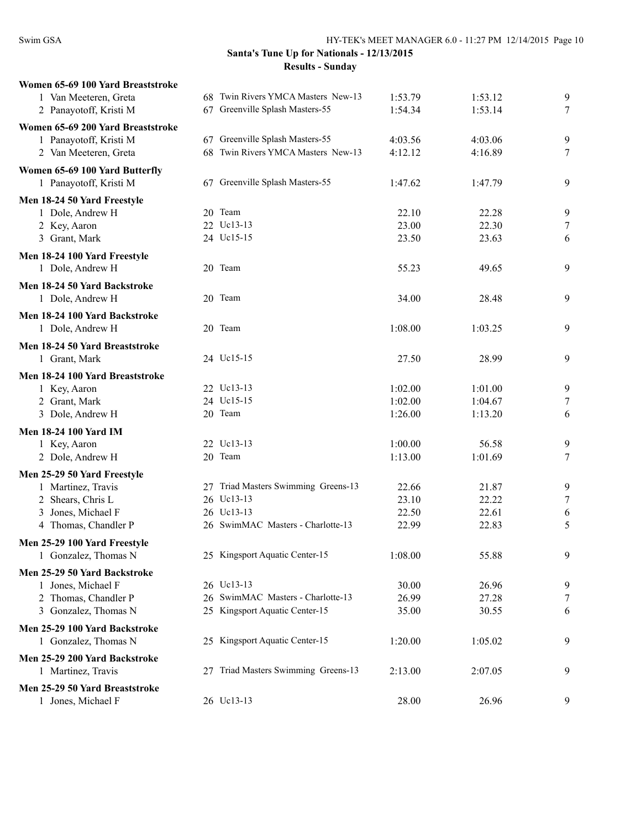| Women 65-69 100 Yard Breaststroke |                                     |         |         |   |
|-----------------------------------|-------------------------------------|---------|---------|---|
| 1 Van Meeteren, Greta             | 68 Twin Rivers YMCA Masters New-13  | 1:53.79 | 1:53.12 | 9 |
| 2 Panayotoff, Kristi M            | 67 Greenville Splash Masters-55     | 1:54.34 | 1:53.14 | 7 |
| Women 65-69 200 Yard Breaststroke |                                     |         |         |   |
| 1 Panayotoff, Kristi M            | 67 Greenville Splash Masters-55     | 4:03.56 | 4:03.06 | 9 |
| 2 Van Meeteren, Greta             | 68 Twin Rivers YMCA Masters New-13  | 4:12.12 | 4:16.89 | 7 |
|                                   |                                     |         |         |   |
| Women 65-69 100 Yard Butterfly    |                                     |         |         |   |
| 1 Panayotoff, Kristi M            | 67 Greenville Splash Masters-55     | 1:47.62 | 1:47.79 | 9 |
| Men 18-24 50 Yard Freestyle       |                                     |         |         |   |
| 1 Dole, Andrew H                  | 20 Team                             | 22.10   | 22.28   | 9 |
| 2 Key, Aaron                      | 22 Uc13-13                          | 23.00   | 22.30   | 7 |
| 3 Grant, Mark                     | 24 Uc15-15                          | 23.50   | 23.63   | 6 |
| Men 18-24 100 Yard Freestyle      |                                     |         |         |   |
| 1 Dole, Andrew H                  | 20 Team                             | 55.23   | 49.65   | 9 |
|                                   |                                     |         |         |   |
| Men 18-24 50 Yard Backstroke      |                                     |         |         |   |
| 1 Dole, Andrew H                  | 20 Team                             | 34.00   | 28.48   | 9 |
| Men 18-24 100 Yard Backstroke     |                                     |         |         |   |
| 1 Dole, Andrew H                  | 20 Team                             | 1:08.00 | 1:03.25 | 9 |
| Men 18-24 50 Yard Breaststroke    |                                     |         |         |   |
| 1 Grant, Mark                     | 24 Uc15-15                          | 27.50   | 28.99   | 9 |
|                                   |                                     |         |         |   |
| Men 18-24 100 Yard Breaststroke   |                                     |         |         |   |
| 1 Key, Aaron                      | 22 Uc13-13                          | 1:02.00 | 1:01.00 | 9 |
| 2 Grant, Mark                     | 24 Uc15-15                          | 1:02.00 | 1:04.67 | 7 |
| 3 Dole, Andrew H                  | 20 Team                             | 1:26.00 | 1:13.20 | 6 |
| <b>Men 18-24 100 Yard IM</b>      |                                     |         |         |   |
| 1 Key, Aaron                      | 22 Uc13-13                          | 1:00.00 | 56.58   | 9 |
| 2 Dole, Andrew H                  | 20 Team                             | 1:13.00 | 1:01.69 | 7 |
| Men 25-29 50 Yard Freestyle       |                                     |         |         |   |
| 1 Martinez, Travis                | 27 Triad Masters Swimming Greens-13 | 22.66   | 21.87   | 9 |
| 2 Shears, Chris L                 | 26 Uc13-13                          | 23.10   | 22.22   | 7 |
| 3 Jones, Michael F                | 26 Uc13-13                          | 22.50   | 22.61   | 6 |
| 4 Thomas, Chandler P              | 26 SwimMAC Masters - Charlotte-13   | 22.99   | 22.83   | 5 |
|                                   |                                     |         |         |   |
| Men 25-29 100 Yard Freestyle      |                                     |         |         |   |
| 1 Gonzalez, Thomas N              | 25 Kingsport Aquatic Center-15      | 1:08.00 | 55.88   | 9 |
| Men 25-29 50 Yard Backstroke      |                                     |         |         |   |
| 1 Jones, Michael F                | 26 Uc13-13                          | 30.00   | 26.96   | 9 |
| 2 Thomas, Chandler P              | 26 SwimMAC Masters - Charlotte-13   | 26.99   | 27.28   | 7 |
| 3 Gonzalez, Thomas N              | 25 Kingsport Aquatic Center-15      | 35.00   | 30.55   | 6 |
| Men 25-29 100 Yard Backstroke     |                                     |         |         |   |
| 1 Gonzalez, Thomas N              | 25 Kingsport Aquatic Center-15      | 1:20.00 | 1:05.02 | 9 |
|                                   |                                     |         |         |   |
| Men 25-29 200 Yard Backstroke     |                                     |         |         |   |
| 1 Martinez, Travis                | 27 Triad Masters Swimming Greens-13 | 2:13.00 | 2:07.05 | 9 |
| Men 25-29 50 Yard Breaststroke    |                                     |         |         |   |
| 1 Jones, Michael F                | 26 Uc13-13                          | 28.00   | 26.96   | 9 |
|                                   |                                     |         |         |   |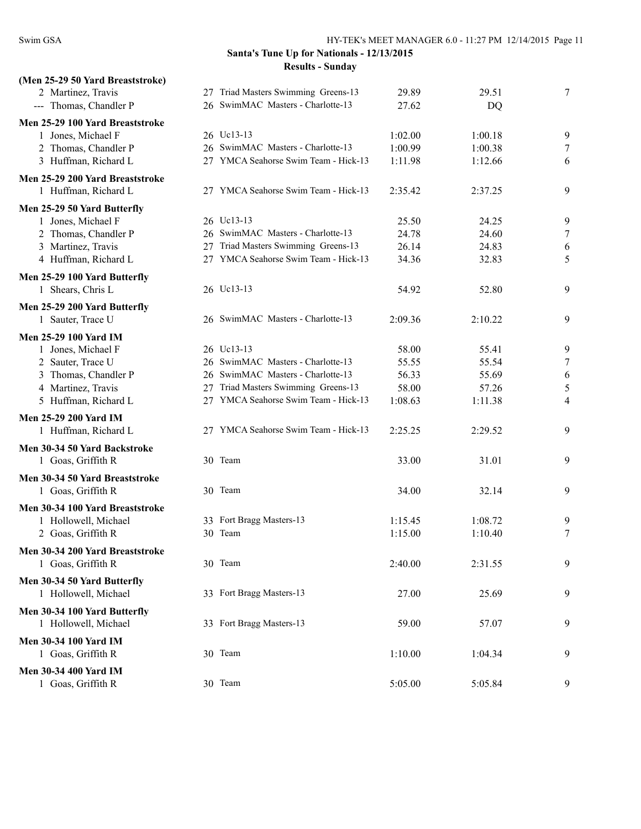| (Men 25-29 50 Yard Breaststroke) |                                      |         |         |        |
|----------------------------------|--------------------------------------|---------|---------|--------|
| 2 Martinez, Travis               | 27 Triad Masters Swimming Greens-13  | 29.89   | 29.51   | $\tau$ |
| --- Thomas, Chandler P           | 26 SwimMAC Masters - Charlotte-13    | 27.62   | DQ      |        |
| Men 25-29 100 Yard Breaststroke  |                                      |         |         |        |
| 1 Jones, Michael F               | 26 Uc13-13                           | 1:02.00 | 1:00.18 | 9      |
| 2 Thomas, Chandler P             | 26 SwimMAC Masters - Charlotte-13    | 1:00.99 | 1:00.38 | 7      |
| 3 Huffman, Richard L             | 27 YMCA Seahorse Swim Team - Hick-13 | 1:11.98 | 1:12.66 | 6      |
| Men 25-29 200 Yard Breaststroke  |                                      |         |         |        |
| 1 Huffman, Richard L             | 27 YMCA Seahorse Swim Team - Hick-13 | 2:35.42 | 2:37.25 | 9      |
| Men 25-29 50 Yard Butterfly      |                                      |         |         |        |
| 1 Jones, Michael F               | 26 Uc13-13                           | 25.50   | 24.25   | 9      |
| 2 Thomas, Chandler P             | 26 SwimMAC Masters - Charlotte-13    | 24.78   | 24.60   | $\tau$ |
| 3 Martinez, Travis               | 27 Triad Masters Swimming Greens-13  | 26.14   | 24.83   | 6      |
| 4 Huffman, Richard L             | 27 YMCA Seahorse Swim Team - Hick-13 | 34.36   | 32.83   | 5      |
|                                  |                                      |         |         |        |
| Men 25-29 100 Yard Butterfly     |                                      |         |         |        |
| 1 Shears, Chris L                | 26 Uc13-13                           | 54.92   | 52.80   | 9      |
| Men 25-29 200 Yard Butterfly     |                                      |         |         |        |
| 1 Sauter, Trace U                | 26 SwimMAC Masters - Charlotte-13    | 2:09.36 | 2:10.22 | 9      |
| <b>Men 25-29 100 Yard IM</b>     |                                      |         |         |        |
| 1 Jones, Michael F               | 26 Uc13-13                           | 58.00   | 55.41   | 9      |
| 2 Sauter, Trace U                | 26 SwimMAC Masters - Charlotte-13    | 55.55   | 55.54   | $\tau$ |
| 3 Thomas, Chandler P             | 26 SwimMAC Masters - Charlotte-13    | 56.33   | 55.69   | 6      |
| 4 Martinez, Travis               | 27 Triad Masters Swimming Greens-13  | 58.00   | 57.26   | 5      |
| 5 Huffman, Richard L             | 27 YMCA Seahorse Swim Team - Hick-13 | 1:08.63 | 1:11.38 | 4      |
| <b>Men 25-29 200 Yard IM</b>     |                                      |         |         |        |
| 1 Huffman, Richard L             | 27 YMCA Seahorse Swim Team - Hick-13 | 2:25.25 | 2:29.52 | 9      |
| Men 30-34 50 Yard Backstroke     |                                      |         |         |        |
| 1 Goas, Griffith R               | 30 Team                              | 33.00   | 31.01   | 9      |
|                                  |                                      |         |         |        |
| Men 30-34 50 Yard Breaststroke   |                                      |         |         |        |
| 1 Goas, Griffith R               | 30 Team                              | 34.00   | 32.14   | 9      |
| Men 30-34 100 Yard Breaststroke  |                                      |         |         |        |
| 1 Hollowell, Michael             | 33 Fort Bragg Masters-13             | 1:15.45 | 1:08.72 | 9      |
| 2 Goas, Griffith R               | 30 Team                              | 1:15.00 | 1:10.40 | $\tau$ |
| Men 30-34 200 Yard Breaststroke  |                                      |         |         |        |
| 1 Goas, Griffith R               | 30 Team                              | 2:40.00 | 2:31.55 | 9      |
| Men 30-34 50 Yard Butterfly      |                                      |         |         |        |
| 1 Hollowell, Michael             | 33 Fort Bragg Masters-13             | 27.00   | 25.69   | 9      |
|                                  |                                      |         |         |        |
| Men 30-34 100 Yard Butterfly     |                                      |         |         |        |
| 1 Hollowell, Michael             | 33 Fort Bragg Masters-13             | 59.00   | 57.07   | 9      |
| <b>Men 30-34 100 Yard IM</b>     |                                      |         |         |        |
| 1 Goas, Griffith R               | 30 Team                              | 1:10.00 | 1:04.34 | 9      |
| <b>Men 30-34 400 Yard IM</b>     |                                      |         |         |        |
| 1 Goas, Griffith R               | 30 Team                              | 5:05.00 | 5:05.84 | 9      |
|                                  |                                      |         |         |        |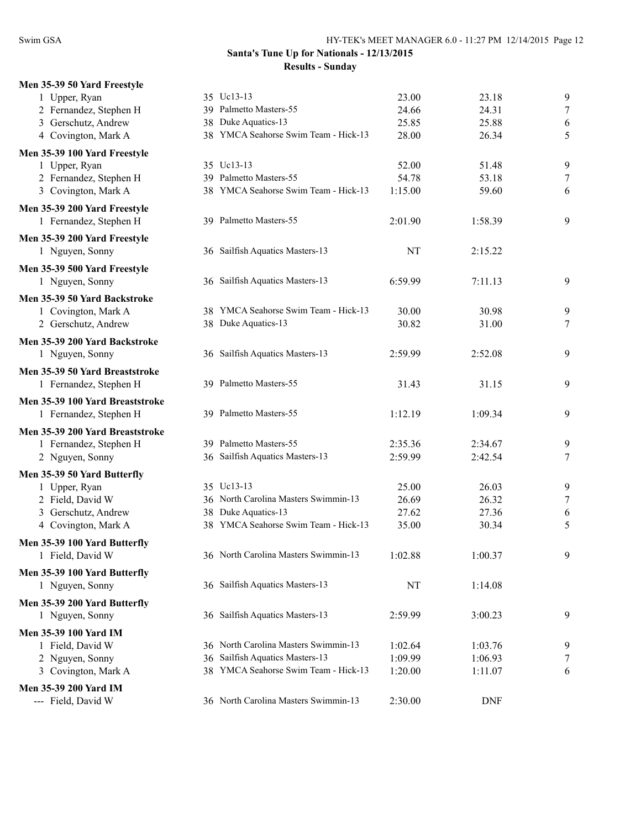| Men 35-39 50 Yard Freestyle     |                                      |         |            |                |
|---------------------------------|--------------------------------------|---------|------------|----------------|
| 1 Upper, Ryan                   | 35 Uc13-13                           | 23.00   | 23.18      | 9              |
| 2 Fernandez, Stephen H          | 39 Palmetto Masters-55               | 24.66   | 24.31      | $\overline{7}$ |
| 3 Gerschutz, Andrew             | 38 Duke Aquatics-13                  | 25.85   | 25.88      | 6              |
| 4 Covington, Mark A             | 38 YMCA Seahorse Swim Team - Hick-13 | 28.00   | 26.34      | 5              |
| Men 35-39 100 Yard Freestyle    |                                      |         |            |                |
| 1 Upper, Ryan                   | 35 Uc13-13                           | 52.00   | 51.48      | 9              |
| 2 Fernandez, Stephen H          | 39 Palmetto Masters-55               | 54.78   | 53.18      | 7              |
| 3 Covington, Mark A             | 38 YMCA Seahorse Swim Team - Hick-13 | 1:15.00 | 59.60      | 6              |
| Men 35-39 200 Yard Freestyle    |                                      |         |            |                |
| 1 Fernandez, Stephen H          | 39 Palmetto Masters-55               | 2:01.90 | 1:58.39    | 9              |
| Men 35-39 200 Yard Freestyle    |                                      |         |            |                |
| 1 Nguyen, Sonny                 | 36 Sailfish Aquatics Masters-13      | NT      | 2:15.22    |                |
| Men 35-39 500 Yard Freestyle    |                                      |         |            |                |
| 1 Nguyen, Sonny                 | 36 Sailfish Aquatics Masters-13      | 6:59.99 | 7:11.13    | 9              |
| Men 35-39 50 Yard Backstroke    |                                      |         |            |                |
| 1 Covington, Mark A             | 38 YMCA Seahorse Swim Team - Hick-13 | 30.00   | 30.98      | 9              |
| 2 Gerschutz, Andrew             | 38 Duke Aquatics-13                  | 30.82   | 31.00      | 7              |
| Men 35-39 200 Yard Backstroke   |                                      |         |            |                |
| 1 Nguyen, Sonny                 | 36 Sailfish Aquatics Masters-13      | 2:59.99 | 2:52.08    | 9              |
| Men 35-39 50 Yard Breaststroke  |                                      |         |            |                |
| 1 Fernandez, Stephen H          | 39 Palmetto Masters-55               | 31.43   | 31.15      | 9              |
| Men 35-39 100 Yard Breaststroke |                                      |         |            |                |
| 1 Fernandez, Stephen H          | 39 Palmetto Masters-55               | 1:12.19 | 1:09.34    | 9              |
| Men 35-39 200 Yard Breaststroke |                                      |         |            |                |
| 1 Fernandez, Stephen H          | 39 Palmetto Masters-55               | 2:35.36 | 2:34.67    | 9              |
| 2 Nguyen, Sonny                 | 36 Sailfish Aquatics Masters-13      | 2:59.99 | 2:42.54    | $\overline{7}$ |
| Men 35-39 50 Yard Butterfly     |                                      |         |            |                |
| 1 Upper, Ryan                   | 35 Uc13-13                           | 25.00   | 26.03      | 9              |
| 2 Field, David W                | 36 North Carolina Masters Swimmin-13 | 26.69   | 26.32      | 7              |
| 3 Gerschutz, Andrew             | 38 Duke Aquatics-13                  | 27.62   | 27.36      | 6              |
| 4 Covington, Mark A             | 38 YMCA Seahorse Swim Team - Hick-13 | 35.00   | 30.34      | 5              |
| Men 35-39 100 Yard Butterfly    |                                      |         |            |                |
| 1 Field, David W                | 36 North Carolina Masters Swimmin-13 | 1:02.88 | 1:00.37    | 9              |
| Men 35-39 100 Yard Butterfly    |                                      |         |            |                |
| 1 Nguyen, Sonny                 | 36 Sailfish Aquatics Masters-13      | NT      | 1:14.08    |                |
| Men 35-39 200 Yard Butterfly    |                                      |         |            |                |
| 1 Nguyen, Sonny                 | 36 Sailfish Aquatics Masters-13      | 2:59.99 | 3:00.23    | 9              |
| Men 35-39 100 Yard IM           |                                      |         |            |                |
| 1 Field, David W                | 36 North Carolina Masters Swimmin-13 | 1:02.64 | 1:03.76    | 9              |
| 2 Nguyen, Sonny                 | 36 Sailfish Aquatics Masters-13      | 1:09.99 | 1:06.93    | 7              |
| 3 Covington, Mark A             | 38 YMCA Seahorse Swim Team - Hick-13 | 1:20.00 | 1:11.07    | 6              |
| Men 35-39 200 Yard IM           |                                      |         |            |                |
| --- Field, David W              | 36 North Carolina Masters Swimmin-13 | 2:30.00 | <b>DNF</b> |                |
|                                 |                                      |         |            |                |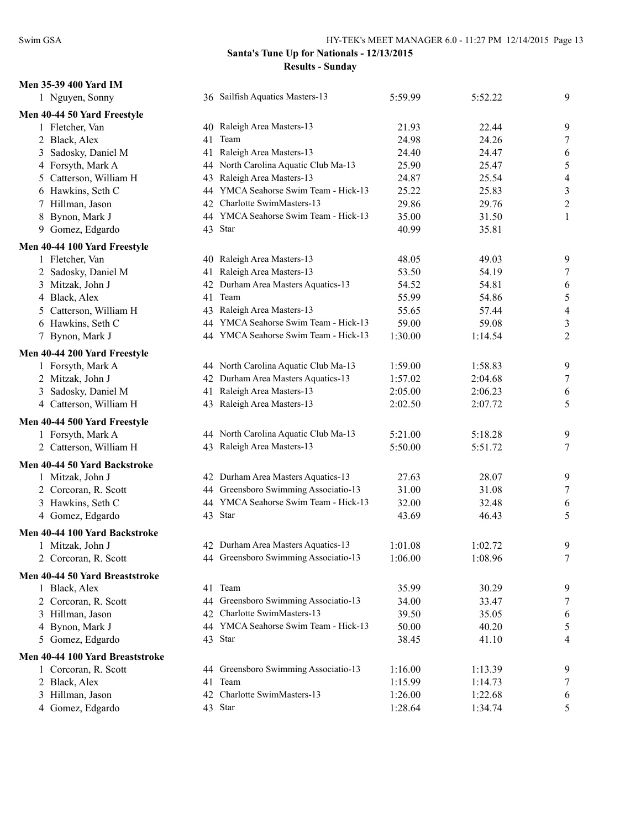### **Men 35-39 400 Yard IM**

| 1 Nguyen, Sonny                          |    | 36 Sailfish Aquatics Masters-13      | 5:59.99 | 5:52.22 | 9                |
|------------------------------------------|----|--------------------------------------|---------|---------|------------------|
| Men 40-44 50 Yard Freestyle              |    |                                      |         |         |                  |
| 1 Fletcher, Van                          | 40 | Raleigh Area Masters-13              | 21.93   | 22.44   | 9                |
| 2 Black, Alex                            | 41 | Team                                 | 24.98   | 24.26   | $\boldsymbol{7}$ |
| Sadosky, Daniel M<br>3                   | 41 | Raleigh Area Masters-13              | 24.40   | 24.47   | 6                |
| 4 Forsyth, Mark A                        |    | 44 North Carolina Aquatic Club Ma-13 | 25.90   | 25.47   | $\sqrt{5}$       |
| Catterson, William H<br>5                | 43 | Raleigh Area Masters-13              | 24.87   | 25.54   | $\overline{4}$   |
| 6 Hawkins, Seth C                        | 44 | YMCA Seahorse Swim Team - Hick-13    | 25.22   | 25.83   | $\sqrt{3}$       |
| 7 Hillman, Jason                         | 42 | Charlotte SwimMasters-13             | 29.86   | 29.76   | $\overline{c}$   |
| Bynon, Mark J<br>8                       |    | 44 YMCA Seahorse Swim Team - Hick-13 | 35.00   | 31.50   | $\mathbf{1}$     |
| 9 Gomez, Edgardo                         |    | 43 Star                              | 40.99   | 35.81   |                  |
| Men 40-44 100 Yard Freestyle             |    |                                      |         |         |                  |
| 1 Fletcher, Van                          | 40 | Raleigh Area Masters-13              | 48.05   | 49.03   | 9                |
| 2 Sadosky, Daniel M                      | 41 | Raleigh Area Masters-13              | 53.50   | 54.19   | $\tau$           |
| Mitzak, John J<br>3                      | 42 | Durham Area Masters Aquatics-13      | 54.52   | 54.81   | 6                |
| 4 Black, Alex                            | 41 | Team                                 | 55.99   | 54.86   | $\sqrt{5}$       |
| Catterson, William H<br>$\mathfrak{S}^-$ | 43 | Raleigh Area Masters-13              | 55.65   | 57.44   | $\overline{4}$   |
| 6 Hawkins, Seth C                        |    | 44 YMCA Seahorse Swim Team - Hick-13 | 59.00   | 59.08   | $\mathfrak{Z}$   |
| 7 Bynon, Mark J                          |    | 44 YMCA Seahorse Swim Team - Hick-13 | 1:30.00 | 1:14.54 | $\boldsymbol{2}$ |
| Men 40-44 200 Yard Freestyle             |    |                                      |         |         |                  |
| 1 Forsyth, Mark A                        |    | 44 North Carolina Aquatic Club Ma-13 | 1:59.00 | 1:58.83 | 9                |
| 2 Mitzak, John J                         |    | 42 Durham Area Masters Aquatics-13   | 1:57.02 | 2:04.68 | $\tau$           |
| Sadosky, Daniel M<br>3                   | 41 | Raleigh Area Masters-13              | 2:05.00 | 2:06.23 | 6                |
| 4 Catterson, William H                   |    | 43 Raleigh Area Masters-13           | 2:02.50 | 2:07.72 | 5                |
| Men 40-44 500 Yard Freestyle             |    |                                      |         |         |                  |
| 1 Forsyth, Mark A                        |    | 44 North Carolina Aquatic Club Ma-13 | 5:21.00 | 5:18.28 | 9                |
| 2 Catterson, William H                   |    | 43 Raleigh Area Masters-13           | 5:50.00 | 5:51.72 | $\tau$           |
| Men 40-44 50 Yard Backstroke             |    |                                      |         |         |                  |
| 1 Mitzak, John J                         |    | 42 Durham Area Masters Aquatics-13   | 27.63   | 28.07   | 9                |
| 2 Corcoran, R. Scott                     |    | 44 Greensboro Swimming Associatio-13 | 31.00   | 31.08   | $\boldsymbol{7}$ |
| 3 Hawkins, Seth C                        |    | 44 YMCA Seahorse Swim Team - Hick-13 | 32.00   | 32.48   | 6                |
| 4 Gomez, Edgardo                         |    | 43 Star                              | 43.69   | 46.43   | 5                |
| Men 40-44 100 Yard Backstroke            |    |                                      |         |         |                  |
| 1 Mitzak, John J                         |    | 42 Durham Area Masters Aquatics-13   | 1:01.08 | 1:02.72 | 9                |
| 2 Corcoran, R. Scott                     |    | 44 Greensboro Swimming Associatio-13 | 1:06.00 | 1:08.96 | $\tau$           |
| Men 40-44 50 Yard Breaststroke           |    |                                      |         |         |                  |
| 1 Black, Alex                            |    | 41 Team                              | 35.99   | 30.29   | 9                |
| 2 Corcoran, R. Scott                     |    | 44 Greensboro Swimming Associatio-13 | 34.00   | 33.47   | $\tau$           |
| 3 Hillman, Jason                         |    | 42 Charlotte SwimMasters-13          | 39.50   | 35.05   | 6                |
| 4 Bynon, Mark J                          |    | 44 YMCA Seahorse Swim Team - Hick-13 | 50.00   | 40.20   | 5                |
| 5 Gomez, Edgardo                         |    | 43 Star                              | 38.45   | 41.10   | 4                |
| Men 40-44 100 Yard Breaststroke          |    |                                      |         |         |                  |
| 1 Corcoran, R. Scott                     |    | 44 Greensboro Swimming Associatio-13 | 1:16.00 | 1:13.39 | 9                |
| 2 Black, Alex                            | 41 | Team                                 | 1:15.99 | 1:14.73 | 7                |
| 3 Hillman, Jason                         |    | 42 Charlotte SwimMasters-13          | 1:26.00 | 1:22.68 | 6                |
| 4 Gomez, Edgardo                         |    | 43 Star                              | 1:28.64 | 1:34.74 | 5                |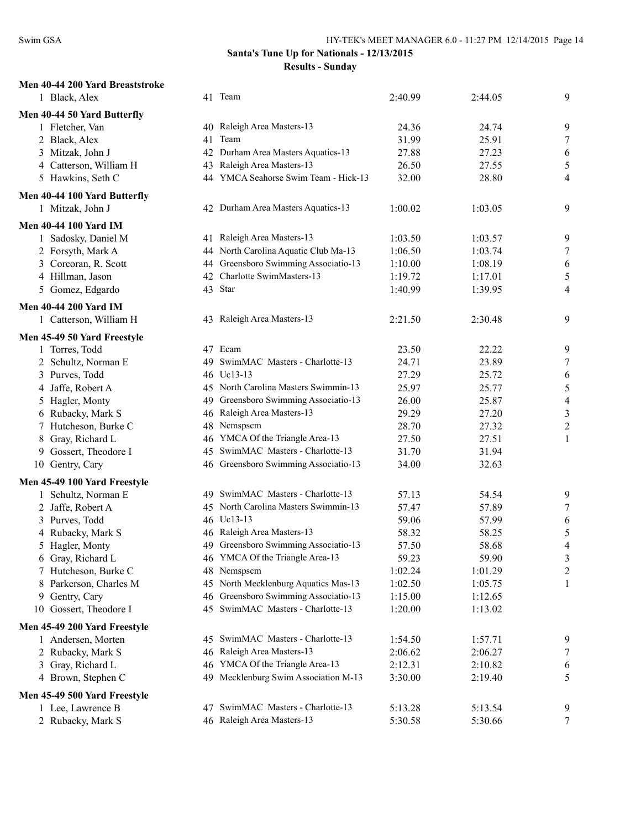### **S** - 12/13/2015 **Results - Sunday**

| Swim GSA                        | HY-TEK's MEET MANAGER 6.0 - 11:27 PM 12/14/2015 Page |                                                                       |         |         |                          |  |
|---------------------------------|------------------------------------------------------|-----------------------------------------------------------------------|---------|---------|--------------------------|--|
|                                 |                                                      | Santa's Tune Up for Nationals - 12/13/2015<br><b>Results - Sunday</b> |         |         |                          |  |
| Men 40-44 200 Yard Breaststroke |                                                      |                                                                       |         |         |                          |  |
| 1 Black, Alex                   |                                                      | 41 Team                                                               | 2:40.99 | 2:44.05 | 9                        |  |
| Men 40-44 50 Yard Butterfly     |                                                      |                                                                       |         |         |                          |  |
| 1 Fletcher, Van                 |                                                      | 40 Raleigh Area Masters-13                                            | 24.36   | 24.74   | 9                        |  |
| 2 Black, Alex                   | 41                                                   | Team                                                                  | 31.99   | 25.91   | 7                        |  |
| 3 Mitzak, John J                | 42                                                   | Durham Area Masters Aquatics-13                                       | 27.88   | 27.23   | 6                        |  |
| 4 Catterson, William H          | 43                                                   | Raleigh Area Masters-13                                               | 26.50   | 27.55   | 5                        |  |
| 5 Hawkins, Seth C               |                                                      | 44 YMCA Seahorse Swim Team - Hick-13                                  | 32.00   | 28.80   | 4                        |  |
| Men 40-44 100 Yard Butterfly    |                                                      |                                                                       |         |         |                          |  |
| 1 Mitzak, John J                |                                                      | 42 Durham Area Masters Aquatics-13                                    | 1:00.02 | 1:03.05 | 9                        |  |
| <b>Men 40-44 100 Yard IM</b>    |                                                      |                                                                       |         |         |                          |  |
| 1 Sadosky, Daniel M             |                                                      | 41 Raleigh Area Masters-13                                            | 1:03.50 | 1:03.57 | 9                        |  |
| 2 Forsyth, Mark A               |                                                      | 44 North Carolina Aquatic Club Ma-13                                  | 1:06.50 | 1:03.74 | $\overline{7}$           |  |
| 3 Corcoran, R. Scott            |                                                      | 44 Greensboro Swimming Associatio-13                                  | 1:10.00 | 1:08.19 | 6                        |  |
| 4 Hillman, Jason                |                                                      | 42 Charlotte SwimMasters-13                                           | 1:19.72 | 1:17.01 | 5                        |  |
| 5 Gomez, Edgardo                |                                                      | 43 Star                                                               | 1:40.99 | 1:39.95 | 4                        |  |
| <b>Men 40-44 200 Yard IM</b>    |                                                      |                                                                       |         |         |                          |  |
| 1 Catterson, William H          |                                                      | 43 Raleigh Area Masters-13                                            | 2:21.50 | 2:30.48 | 9                        |  |
| Men 45-49 50 Yard Freestyle     |                                                      |                                                                       |         |         |                          |  |
| 1 Torres, Todd                  |                                                      | 47 Ecam                                                               | 23.50   | 22.22   | 9                        |  |
| 2 Schultz, Norman E             |                                                      | 49 SwimMAC Masters - Charlotte-13                                     | 24.71   | 23.89   | $\overline{7}$           |  |
| 3 Purves, Todd                  |                                                      | 46 Uc13-13                                                            | 27.29   | 25.72   | 6                        |  |
| 4 Jaffe, Robert A               |                                                      | 45 North Carolina Masters Swimmin-13                                  | 25.97   | 25.77   | 5                        |  |
| 5 Hagler, Monty                 | 49                                                   | Greensboro Swimming Associatio-13                                     | 26.00   | 25.87   | $\overline{\mathcal{A}}$ |  |
| 6 Rubacky, Mark S               | 46                                                   | Raleigh Area Masters-13                                               | 29.29   | 27.20   | 3                        |  |
| 7 Hutcheson, Burke C            |                                                      | 48 Nemspsem                                                           | 28.70   | 27.32   | $\overline{c}$           |  |
| Gray, Richard L<br>8            |                                                      | 46 YMCA Of the Triangle Area-13                                       | 27.50   | 27.51   | 1                        |  |
| 9 Gossert, Theodore I           | 45                                                   | SwimMAC Masters - Charlotte-13                                        | 31.70   | 31.94   |                          |  |
| 10 Gentry, Cary                 |                                                      | 46 Greensboro Swimming Associatio-13                                  | 34.00   | 32.63   |                          |  |
| Men 45-49 100 Yard Freestyle    |                                                      |                                                                       |         |         |                          |  |
| 1 Schultz, Norman E             |                                                      | 49 SwimMAC Masters - Charlotte-13                                     | 57.13   | 54.54   | 9                        |  |
| 2 Jaffe, Robert A               |                                                      | 45 North Carolina Masters Swimmin-13                                  | 57.47   | 57.89   | 7                        |  |
| 3 Purves, Todd                  | 46                                                   | Uc13-13                                                               | 59.06   | 57.99   | 6                        |  |
| 4 Rubacky, Mark S               |                                                      | 46 Raleigh Area Masters-13                                            | 58.32   | 58.25   | 5                        |  |
| 5 Hagler, Monty                 | 49                                                   | Greensboro Swimming Associatio-13                                     | 57.50   | 58.68   | $\overline{\mathcal{A}}$ |  |
| 6 Gray, Richard L               | 46                                                   | YMCA Of the Triangle Area-13                                          | 59.23   | 59.90   | 3                        |  |
| 7 Hutcheson, Burke C            |                                                      | 48 Nemspsem                                                           | 1:02.24 | 1:01.29 | $\overline{c}$           |  |
| Parkerson, Charles M<br>8       |                                                      | 45 North Mecklenburg Aquatics Mas-13                                  | 1:02.50 | 1:05.75 | 1                        |  |
| Gentry, Cary<br>9.              |                                                      | 46 Greensboro Swimming Associatio-13                                  | 1:15.00 | 1:12.65 |                          |  |
| 10 Gossert, Theodore I          |                                                      | 45 SwimMAC Masters - Charlotte-13                                     | 1:20.00 | 1:13.02 |                          |  |
| Men 45-49 200 Yard Freestyle    |                                                      |                                                                       |         |         |                          |  |
| 1 Andersen, Morten              | 45                                                   | SwimMAC Masters - Charlotte-13                                        | 1:54.50 | 1:57.71 | 9                        |  |
| 2 Rubacky, Mark S               | 46                                                   | Raleigh Area Masters-13                                               | 2:06.62 | 2:06.27 | 7                        |  |
| 3 Gray, Richard L               |                                                      | 46 YMCA Of the Triangle Area-13                                       | 2:12.31 | 2:10.82 | 6                        |  |
| 4 Brown, Stephen C              |                                                      | 49 Mecklenburg Swim Association M-13                                  | 3:30.00 | 2:19.40 | 5                        |  |
| Men 45-49 500 Yard Freestyle    |                                                      |                                                                       |         |         |                          |  |
| 1 Lee, Lawrence B               | 47                                                   | SwimMAC Masters - Charlotte-13                                        | 5:13.28 | 5:13.54 | 9                        |  |
| 2 Rubacky, Mark S               |                                                      | 46 Raleigh Area Masters-13                                            | 5:30.58 | 5:30.66 | 7                        |  |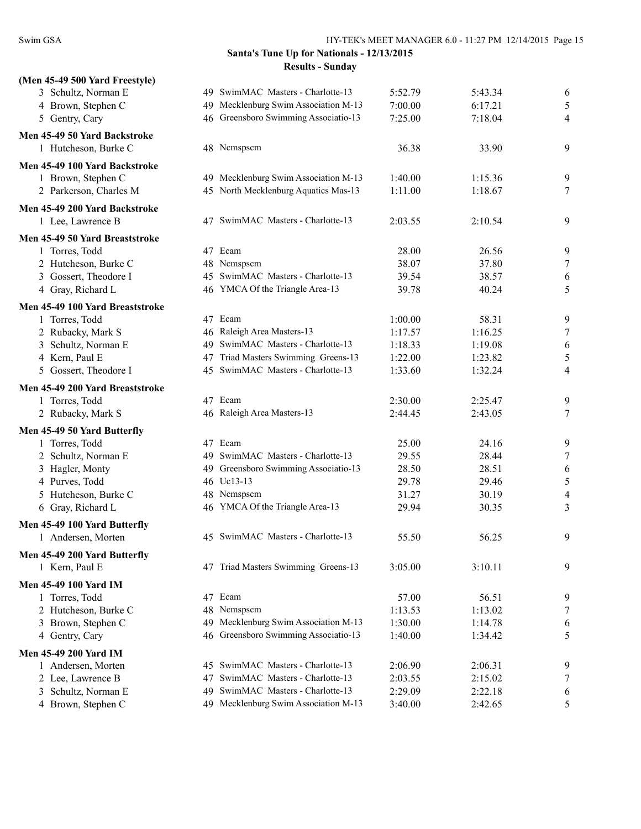| (Men 45-49 500 Yard Freestyle)  |                                        |         |         |                          |
|---------------------------------|----------------------------------------|---------|---------|--------------------------|
| 3 Schultz, Norman E             | 49 SwimMAC Masters - Charlotte-13      | 5:52.79 | 5:43.34 | 6                        |
| 4 Brown, Stephen C              | 49 Mecklenburg Swim Association M-13   | 7:00.00 | 6:17.21 | 5                        |
| 5 Gentry, Cary                  | 46 Greensboro Swimming Associatio-13   | 7:25.00 | 7:18.04 | 4                        |
| Men 45-49 50 Yard Backstroke    |                                        |         |         |                          |
| 1 Hutcheson, Burke C            | 48 Nemspsem                            | 36.38   | 33.90   | 9                        |
| Men 45-49 100 Yard Backstroke   |                                        |         |         |                          |
| 1 Brown, Stephen C              | 49 Mecklenburg Swim Association M-13   | 1:40.00 | 1:15.36 | 9                        |
| 2 Parkerson, Charles M          | 45 North Mecklenburg Aquatics Mas-13   | 1:11.00 | 1:18.67 | $\tau$                   |
| Men 45-49 200 Yard Backstroke   |                                        |         |         |                          |
| 1 Lee, Lawrence B               | 47 SwimMAC Masters - Charlotte-13      | 2:03.55 | 2:10.54 | 9                        |
| Men 45-49 50 Yard Breaststroke  |                                        |         |         |                          |
| 1 Torres, Todd                  | 47 Ecam                                | 28.00   | 26.56   | 9                        |
| 2 Hutcheson, Burke C            | 48 Nemspsem                            | 38.07   | 37.80   | $\tau$                   |
| 3 Gossert, Theodore I           | 45 SwimMAC Masters - Charlotte-13      | 39.54   | 38.57   | 6                        |
| 4 Gray, Richard L               | 46 YMCA Of the Triangle Area-13        | 39.78   | 40.24   | 5                        |
| Men 45-49 100 Yard Breaststroke |                                        |         |         |                          |
| 1 Torres, Todd                  | 47 Ecam                                | 1:00.00 | 58.31   | 9                        |
| 2 Rubacky, Mark S               | 46 Raleigh Area Masters-13             | 1:17.57 | 1:16.25 | $\tau$                   |
| 3 Schultz, Norman E             | 49 SwimMAC Masters - Charlotte-13      | 1:18.33 | 1:19.08 | 6                        |
| 4 Kern, Paul E                  | Triad Masters Swimming Greens-13<br>47 | 1:22.00 | 1:23.82 | 5                        |
| 5 Gossert, Theodore I           | 45 SwimMAC Masters - Charlotte-13      | 1:33.60 | 1:32.24 | 4                        |
| Men 45-49 200 Yard Breaststroke |                                        |         |         |                          |
| 1 Torres, Todd                  | 47 Ecam                                | 2:30.00 | 2:25.47 | 9                        |
| 2 Rubacky, Mark S               | 46 Raleigh Area Masters-13             | 2:44.45 | 2:43.05 | $\tau$                   |
| Men 45-49 50 Yard Butterfly     |                                        |         |         |                          |
| 1 Torres, Todd                  | 47 Ecam                                | 25.00   | 24.16   | 9                        |
| 2 Schultz, Norman E             | 49 SwimMAC Masters - Charlotte-13      | 29.55   | 28.44   | $\tau$                   |
| 3 Hagler, Monty                 | 49 Greensboro Swimming Associatio-13   | 28.50   | 28.51   | 6                        |
| 4 Purves, Todd                  | 46 Uc13-13                             | 29.78   | 29.46   | 5                        |
| 5 Hutcheson, Burke C            | 48 Nemspsem                            | 31.27   | 30.19   | $\overline{\mathcal{L}}$ |
| 6 Gray, Richard L               | 46 YMCA Of the Triangle Area-13        | 29.94   | 30.35   | 3                        |
| Men 45-49 100 Yard Butterfly    |                                        |         |         |                          |
| 1 Andersen, Morten              | 45 SwimMAC Masters - Charlotte-13      | 55.50   | 56.25   | 9                        |
| Men 45-49 200 Yard Butterfly    |                                        |         |         |                          |
| 1 Kern, Paul E                  | 47 Triad Masters Swimming Greens-13    | 3:05.00 | 3:10.11 | 9                        |
| <b>Men 45-49 100 Yard IM</b>    |                                        |         |         |                          |
| 1 Torres, Todd                  | 47 Ecam                                | 57.00   | 56.51   | 9                        |
| 2 Hutcheson, Burke C            | Nemspsem<br>48                         | 1:13.53 | 1:13.02 | $\tau$                   |
| 3 Brown, Stephen C              | 49 Mecklenburg Swim Association M-13   | 1:30.00 | 1:14.78 | 6                        |
| 4 Gentry, Cary                  | 46 Greensboro Swimming Associatio-13   | 1:40.00 | 1:34.42 | 5                        |
| Men 45-49 200 Yard IM           |                                        |         |         |                          |
| 1 Andersen, Morten              | 45 SwimMAC Masters - Charlotte-13      | 2:06.90 | 2:06.31 | 9                        |
| 2 Lee, Lawrence B               | SwimMAC Masters - Charlotte-13<br>47   | 2:03.55 | 2:15.02 | $\tau$                   |
| 3 Schultz, Norman E             | SwimMAC Masters - Charlotte-13<br>49   | 2:29.09 | 2:22.18 | 6                        |
| 4 Brown, Stephen C              | 49 Mecklenburg Swim Association M-13   | 3:40.00 | 2:42.65 | 5                        |
|                                 |                                        |         |         |                          |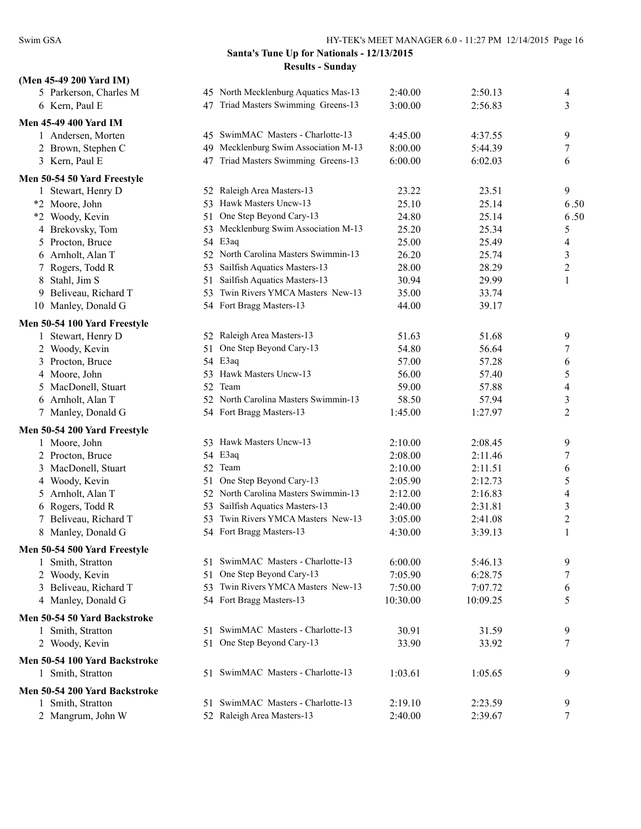| (Men 45-49 200 Yard IM)              |                                       |                  |                  |                  |
|--------------------------------------|---------------------------------------|------------------|------------------|------------------|
| 5 Parkerson, Charles M               | 45 North Mecklenburg Aquatics Mas-13  | 2:40.00          | 2:50.13          | 4                |
| 6 Kern, Paul E                       | 47 Triad Masters Swimming Greens-13   | 3:00.00          | 2:56.83          | 3                |
| <b>Men 45-49 400 Yard IM</b>         |                                       |                  |                  |                  |
| 1 Andersen, Morten                   | 45 SwimMAC Masters - Charlotte-13     | 4:45.00          | 4:37.55          | 9                |
| 2 Brown, Stephen C                   | 49 Mecklenburg Swim Association M-13  | 8:00.00          | 5:44.39          | 7                |
| 3 Kern, Paul E                       | 47 Triad Masters Swimming Greens-13   | 6:00.00          | 6:02.03          | 6                |
|                                      |                                       |                  |                  |                  |
| Men 50-54 50 Yard Freestyle          | 52 Raleigh Area Masters-13            | 23.22            | 23.51            |                  |
| 1 Stewart, Henry D<br>*2 Moore, John | 53 Hawk Masters Uncw-13               | 25.10            | 25.14            | 9<br>6.50        |
| *2 Woody, Kevin                      | 51 One Step Beyond Cary-13            | 24.80            | 25.14            | 6.50             |
| 4 Brekovsky, Tom                     | 53 Mecklenburg Swim Association M-13  | 25.20            | 25.34            | 5                |
| Procton, Bruce<br>5                  | 54 E3aq                               | 25.00            | 25.49            | 4                |
| 6 Arnholt, Alan T                    | 52 North Carolina Masters Swimmin-13  | 26.20            | 25.74            | 3                |
| 7 Rogers, Todd R                     | 53 Sailfish Aquatics Masters-13       | 28.00            | 28.29            | 2                |
| 8 Stahl, Jim S                       | Sailfish Aquatics Masters-13<br>51    | 30.94            | 29.99            | 1                |
| Beliveau, Richard T<br>9             | 53 Twin Rivers YMCA Masters New-13    | 35.00            | 33.74            |                  |
| 10 Manley, Donald G                  | 54 Fort Bragg Masters-13              | 44.00            | 39.17            |                  |
|                                      |                                       |                  |                  |                  |
| Men 50-54 100 Yard Freestyle         |                                       |                  |                  |                  |
| 1 Stewart, Henry D                   | 52 Raleigh Area Masters-13            | 51.63            | 51.68            | 9                |
| 2 Woody, Kevin                       | 51 One Step Beyond Cary-13            | 54.80            | 56.64            | 7                |
| 3 Procton, Bruce                     | 54 E3aq<br>53 Hawk Masters Uncw-13    | 57.00            | 57.28            | 6                |
| 4 Moore, John                        | 52 Team                               | 56.00            | 57.40            | 5                |
| MacDonell, Stuart<br>5               | 52 North Carolina Masters Swimmin-13  | 59.00            | 57.88            | 4                |
| 6 Arnholt, Alan T                    | 54 Fort Bragg Masters-13              | 58.50<br>1:45.00 | 57.94<br>1:27.97 | 3<br>2           |
| 7 Manley, Donald G                   |                                       |                  |                  |                  |
| Men 50-54 200 Yard Freestyle         |                                       |                  |                  |                  |
| 1 Moore, John                        | 53 Hawk Masters Uncw-13               | 2:10.00          | 2:08.45          | 9                |
| 2 Procton, Bruce                     | 54 E3aq                               | 2:08.00          | 2:11.46          | 7                |
| 3 MacDonell, Stuart                  | 52 Team                               | 2:10.00          | 2:11.51          | 6                |
| 4 Woody, Kevin                       | 51 One Step Beyond Cary-13            | 2:05.90          | 2:12.73          | 5                |
| 5 Arnholt, Alan T                    | 52 North Carolina Masters Swimmin-13  | 2:12.00          | 2:16.83          | 4                |
| 6 Rogers, Todd R                     | 53 Sailfish Aquatics Masters-13       | 2:40.00          | 2:31.81          | 3                |
| 7 Beliveau, Richard T                | 53 Twin Rivers YMCA Masters New-13    | 3:05.00          | 2:41.08          | $\overline{c}$   |
| 8 Manley, Donald G                   | 54 Fort Bragg Masters-13              | 4:30.00          | 3:39.13          | 1                |
| Men 50-54 500 Yard Freestyle         |                                       |                  |                  |                  |
| 1 Smith, Stratton                    | 51 SwimMAC Masters - Charlotte-13     | 6:00.00          | 5:46.13          | 9                |
| 2 Woody, Kevin                       | 51 One Step Beyond Cary-13            | 7:05.90          | 6:28.75          | 7                |
| 3 Beliveau, Richard T                | 53 Twin Rivers YMCA Masters New-13    | 7:50.00          | 7:07.72          | 6                |
| 4 Manley, Donald G                   | 54 Fort Bragg Masters-13              | 10:30.00         | 10:09.25         | 5                |
| Men 50-54 50 Yard Backstroke         |                                       |                  |                  |                  |
| 1 Smith, Stratton                    | SwimMAC Masters - Charlotte-13<br>51. | 30.91            | 31.59            | 9                |
| 2 Woody, Kevin                       | One Step Beyond Cary-13<br>51         | 33.90            | 33.92            | 7                |
| Men 50-54 100 Yard Backstroke        |                                       |                  |                  |                  |
| 1 Smith, Stratton                    | 51 SwimMAC Masters - Charlotte-13     | 1:03.61          | 1:05.65          | 9                |
|                                      |                                       |                  |                  |                  |
| Men 50-54 200 Yard Backstroke        |                                       |                  |                  |                  |
| 1 Smith, Stratton                    | SwimMAC Masters - Charlotte-13<br>51. | 2:19.10          | 2:23.59          | 9                |
| 2 Mangrum, John W                    | 52 Raleigh Area Masters-13            | 2:40.00          | 2:39.67          | $\boldsymbol{7}$ |
|                                      |                                       |                  |                  |                  |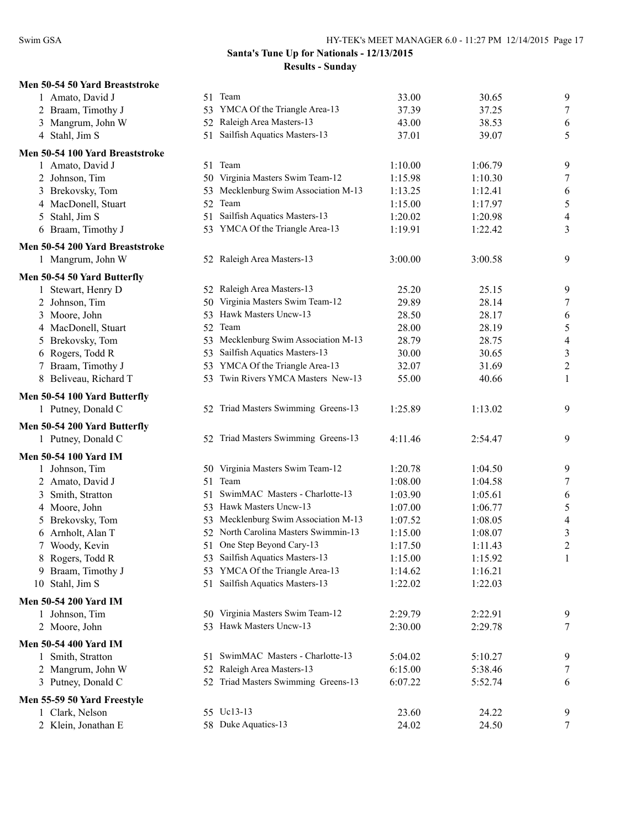|   | Men 50-54 50 Yard Breaststroke  |
|---|---------------------------------|
|   | 1 Amato, David J                |
|   | 2 Braam, Timothy J              |
|   | 3 Mangrum, John W               |
|   | 4 Stahl, Jim S                  |
|   | Men 50-54 100 Yard Breaststroke |
|   | 1 Amato, David J                |
|   | 2 Johnson, Tim                  |
|   | 3 Brekovsky, Tom                |
|   | 4 MacDonell, Stuart             |
|   | 5 Stahl, Jim S                  |
|   | 6 Braam, Timothy J              |
|   | Men 50-54 200 Yard Breaststroke |
|   | 1 Mangrum, John W               |
|   | Men 50-54 50 Yard Butterfly     |
| 1 | Stewart, Henry D                |
|   | 2 Johnson, Tim                  |
|   | 3 Moore, John                   |
|   | 4 MacDonell, Stuart             |
|   | 5 Brekovsky, Tom                |
|   | 6 Rogers, Todd R                |
|   | 7 Braam, Timothy J              |
|   | 8 Beliveau, Richard T           |

# **Men 50-54 100 Yard Butterfly**

#### **Men 50-54 200 Yard Butterfly**

#### **Men 50-54 100 Yard IM**

| Johnson, Tim                 |    | 50 Virginia Masters Swim Team-12     | 1:20.78 | 1:04.50 | 9 |
|------------------------------|----|--------------------------------------|---------|---------|---|
| 2 Amato, David J             |    | 51 Team                              | 1:08.00 | 1:04.58 | 7 |
| Smith, Stratton<br>3         |    | SwimMAC Masters - Charlotte-13       | 1:03.90 | 1:05.61 | 6 |
| 4 Moore, John                | 53 | Hawk Masters Uncw-13                 | 1:07.00 | 1:06.77 | 5 |
| 5 Brekovsky, Tom             |    | 53 Mecklenburg Swim Association M-13 | 1:07.52 | 1:08.05 | 4 |
| 6 Arnholt, Alan T            |    | 52 North Carolina Masters Swimmin-13 | 1:15.00 | 1:08.07 | 3 |
| Woody, Kevin                 |    | 51 One Step Beyond Cary-13           | 1:17.50 | 1:11.43 | 2 |
| 8 Rogers, Todd R             | 53 | Sailfish Aquatics Masters-13         | 1:15.00 | 1:15.92 |   |
| Braam, Timothy J             | 53 | YMCA Of the Triangle Area-13         | 1:14.62 | 1:16.21 |   |
| 10 Stahl, Jim S              | 51 | Sailfish Aquatics Masters-13         | 1:22.02 | 1:22.03 |   |
| Men 50-54 200 Yard IM        |    |                                      |         |         |   |
| 1 Johnson, Tim               |    | 50 Virginia Masters Swim Team-12     | 2:29.79 | 2:22.91 | 9 |
| 2 Moore, John                |    | 53 Hawk Masters Uncw-13              | 2:30.00 | 2:29.78 | 7 |
| <b>Men 50-54 400 Yard IM</b> |    |                                      |         |         |   |
| 1 Smith, Stratton            | 51 | SwimMAC Masters - Charlotte-13       | 5:04.02 | 5:10.27 | 9 |
| 2 Mangrum, John W            |    | 52 Raleigh Area Masters-13           | 6:15.00 | 5:38.46 | 7 |
| 3 Putney, Donald C           |    | 52 Triad Masters Swimming Greens-13  | 6:07.22 | 5:52.74 | 6 |
| Men 55-59 50 Yard Freestyle  |    |                                      |         |         |   |
| 1 Clark, Nelson              |    | 55 Uc13-13                           | 23.60   | 24.22   | 9 |
| 2 Klein, Jonathan E          |    | 58 Duke Aquatics-13                  | 24.02   | 24.50   |   |
|                              |    |                                      |         |         |   |

| 50-54 50 Yard Breaststroke  |                                      |         |         |                          |
|-----------------------------|--------------------------------------|---------|---------|--------------------------|
| 1 Amato, David J            | 51 Team                              | 33.00   | 30.65   | 9                        |
| 2 Braam, Timothy J          | 53 YMCA Of the Triangle Area-13      | 37.39   | 37.25   | 7                        |
| 3 Mangrum, John W           | 52 Raleigh Area Masters-13           | 43.00   | 38.53   | 6                        |
| 4 Stahl, Jim S              | 51 Sailfish Aquatics Masters-13      | 37.01   | 39.07   | 5                        |
| 50-54 100 Yard Breaststroke |                                      |         |         |                          |
| 1 Amato, David J            | 51 Team                              | 1:10.00 | 1:06.79 | 9                        |
| 2 Johnson, Tim              | 50 Virginia Masters Swim Team-12     | 1:15.98 | 1:10.30 | 7                        |
| 3 Brekovsky, Tom            | 53 Mecklenburg Swim Association M-13 | 1:13.25 | 1:12.41 | 6                        |
| 4 MacDonell, Stuart         | 52 Team                              | 1:15.00 | 1:17.97 | 5                        |
| 5 Stahl, Jim S              | 51 Sailfish Aquatics Masters-13      | 1:20.02 | 1:20.98 | 4                        |
| 6 Braam, Timothy J          | 53 YMCA Of the Triangle Area-13      | 1:19.91 | 1:22.42 | 3                        |
| 50-54 200 Yard Breaststroke |                                      |         |         |                          |
| 1 Mangrum, John W           | 52 Raleigh Area Masters-13           | 3:00.00 | 3:00.58 | 9                        |
| 50-54 50 Yard Butterfly     |                                      |         |         |                          |
| 1 Stewart, Henry D          | 52 Raleigh Area Masters-13           | 25.20   | 25.15   | 9                        |
| 2 Johnson, Tim              | 50 Virginia Masters Swim Team-12     | 29.89   | 28.14   | $\overline{7}$           |
| 3 Moore, John               | 53 Hawk Masters Uncw-13              | 28.50   | 28.17   | 6                        |
| 4 MacDonell, Stuart         | 52 Team                              | 28.00   | 28.19   | 5                        |
| 5 Brekovsky, Tom            | 53 Mecklenburg Swim Association M-13 | 28.79   | 28.75   | $\overline{\mathcal{A}}$ |
| 6 Rogers, Todd R            | 53 Sailfish Aquatics Masters-13      | 30.00   | 30.65   | 3                        |
| 7 Braam, Timothy J          | 53 YMCA Of the Triangle Area-13      | 32.07   | 31.69   | $\overline{\mathbf{c}}$  |
| 8 Beliveau, Richard T       | 53 Twin Rivers YMCA Masters New-13   | 55.00   | 40.66   | 1                        |
| 50-54 100 Yard Butterfly    |                                      |         |         |                          |
| 1 Putney, Donald C          | 52 Triad Masters Swimming Greens-13  | 1:25.89 | 1:13.02 | 9                        |
| 50-54 200 Yard Butterfly    |                                      |         |         |                          |
| 1 Putney, Donald C          | 52 Triad Masters Swimming Greens-13  | 4:11.46 | 2:54.47 | 9                        |
| 50-54 100 Yard IM           |                                      |         |         |                          |
| 1 Johnson, Tim              | 50 Virginia Masters Swim Team-12     | 1:20.78 | 1:04.50 | 9                        |
| 2 Amato, David J            | 51 Team                              | 1:08.00 | 1:04.58 | 7                        |
| 3 Smith, Stratton           | 51 SwimMAC Masters - Charlotte-13    | 1:03.90 | 1:05.61 | 6                        |
| 4 Moore, John               | 53 Hawk Masters Uncw-13              | 1:07.00 | 1:06.77 | 5                        |
| 5 Brekovsky, Tom            | 53 Mecklenburg Swim Association M-13 | 1:07.52 | 1:08.05 | $\overline{\mathcal{A}}$ |
| 6 Arnholt, Alan T           | 52 North Carolina Masters Swimmin-13 | 1:15.00 | 1:08.07 | 3                        |
| 7 Woody, Kevin              | 51 One Step Beyond Cary-13           | 1:17.50 | 1:11.43 | $\overline{c}$           |
| 8 Rogers, Todd R            | 53 Sailfish Aquatics Masters-13      | 1:15.00 | 1:15.92 | 1                        |
| 9 Braam, Timothy J          | 53 YMCA Of the Triangle Area-13      | 1:14.62 | 1:16.21 |                          |
| 0 Stahl, Jim S              | 51 Sailfish Aquatics Masters-13      | 1:22.02 | 1:22.03 |                          |
| 50-54 200 Yard IM           |                                      |         |         |                          |
| 1 Johnson, Tim              | 50 Virginia Masters Swim Team-12     | 2:29.79 | 2:22.91 | 9                        |
| 2 Moore, John               | 53 Hawk Masters Uncw-13              | 2:30.00 | 2:29.78 | 7                        |
| 50-54 400 Yard IM           |                                      |         |         |                          |
| 1 Smith, Stratton           | 51 SwimMAC Masters - Charlotte-13    | 5:04.02 | 5:10.27 | 9                        |
| 2 Mangrum, John W           | 52 Raleigh Area Masters-13           | 6:15.00 | 5:38.46 | 7                        |
| 3 Putney, Donald C          | 52 Triad Masters Swimming Greens-13  | 6:07.22 | 5:52.74 | 6                        |
| 55-59 50 Yard Freestyle     |                                      |         |         |                          |
| 1 Clark Nelson              | $55$ $\Pi c13-13$                    | 23.60   | 24.22   | $\Omega$                 |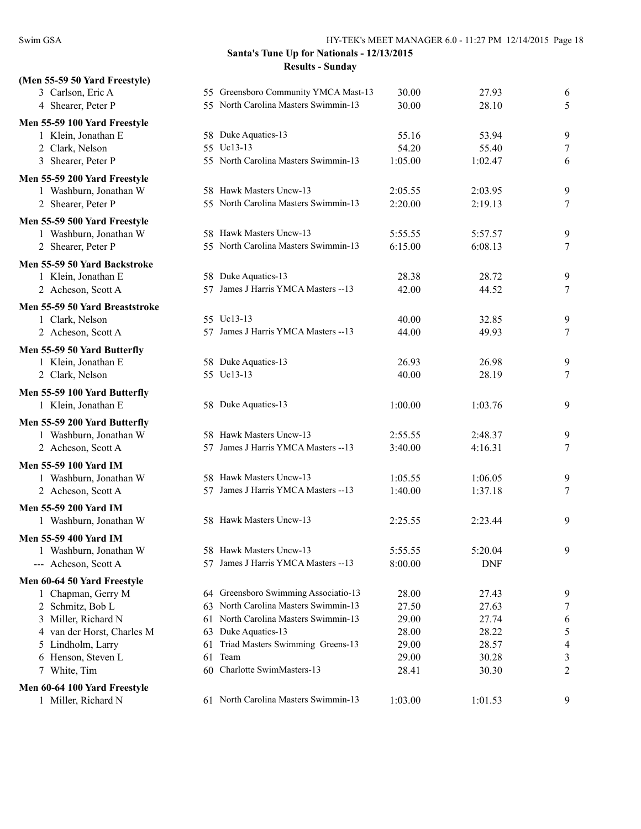| (Men 55-59 50 Yard Freestyle)  |    |                                      |         |            |                |
|--------------------------------|----|--------------------------------------|---------|------------|----------------|
| 3 Carlson, Eric A              |    | 55 Greensboro Community YMCA Mast-13 | 30.00   | 27.93      | 6              |
| 4 Shearer, Peter P             |    | 55 North Carolina Masters Swimmin-13 | 30.00   | 28.10      | 5              |
| Men 55-59 100 Yard Freestyle   |    |                                      |         |            |                |
| 1 Klein, Jonathan E            |    | 58 Duke Aquatics-13                  | 55.16   | 53.94      | 9              |
| 2 Clark, Nelson                |    | 55 Uc13-13                           | 54.20   | 55.40      | 7              |
| 3 Shearer, Peter P             |    | 55 North Carolina Masters Swimmin-13 | 1:05.00 | 1:02.47    | 6              |
| Men 55-59 200 Yard Freestyle   |    |                                      |         |            |                |
| 1 Washburn, Jonathan W         |    | 58 Hawk Masters Uncw-13              | 2:05.55 | 2:03.95    | 9              |
| 2 Shearer, Peter P             |    | 55 North Carolina Masters Swimmin-13 | 2:20.00 | 2:19.13    | 7              |
| Men 55-59 500 Yard Freestyle   |    |                                      |         |            |                |
| 1 Washburn, Jonathan W         |    | 58 Hawk Masters Uncw-13              | 5:55.55 | 5:57.57    | 9              |
| 2 Shearer, Peter P             |    | 55 North Carolina Masters Swimmin-13 | 6:15.00 | 6:08.13    | 7              |
| Men 55-59 50 Yard Backstroke   |    |                                      |         |            |                |
| 1 Klein, Jonathan E            |    | 58 Duke Aquatics-13                  | 28.38   | 28.72      | 9              |
| 2 Acheson, Scott A             |    | 57 James J Harris YMCA Masters -- 13 | 42.00   | 44.52      | 7              |
| Men 55-59 50 Yard Breaststroke |    |                                      |         |            |                |
| 1 Clark, Nelson                |    | 55 Uc13-13                           | 40.00   | 32.85      | 9              |
| 2 Acheson, Scott A             |    | 57 James J Harris YMCA Masters -- 13 | 44.00   | 49.93      | 7              |
| Men 55-59 50 Yard Butterfly    |    |                                      |         |            |                |
| 1 Klein, Jonathan E            |    | 58 Duke Aquatics-13                  | 26.93   | 26.98      | 9              |
| 2 Clark, Nelson                |    | 55 Uc13-13                           | 40.00   | 28.19      | 7              |
| Men 55-59 100 Yard Butterfly   |    |                                      |         |            |                |
| 1 Klein, Jonathan E            |    | 58 Duke Aquatics-13                  | 1:00.00 | 1:03.76    | 9              |
| Men 55-59 200 Yard Butterfly   |    |                                      |         |            |                |
| 1 Washburn, Jonathan W         |    | 58 Hawk Masters Uncw-13              | 2:55.55 | 2:48.37    | 9              |
| 2 Acheson, Scott A             |    | 57 James J Harris YMCA Masters -- 13 | 3:40.00 | 4:16.31    | 7              |
| Men 55-59 100 Yard IM          |    |                                      |         |            |                |
| 1 Washburn, Jonathan W         |    | 58 Hawk Masters Uncw-13              | 1:05.55 | 1:06.05    | 9              |
| 2 Acheson, Scott A             |    | 57 James J Harris YMCA Masters -- 13 | 1:40.00 | 1:37.18    | 7              |
| Men 55-59 200 Yard IM          |    |                                      |         |            |                |
| 1 Washburn, Jonathan W         |    | 58 Hawk Masters Uncw-13              | 2:25.55 | 2:23.44    | 9              |
| Men 55-59 400 Yard IM          |    |                                      |         |            |                |
| Washburn, Jonathan W           |    | 58 Hawk Masters Uncw-13              | 5:55.55 | 5:20.04    | 9              |
| --- Acheson, Scott A           | 57 | James J Harris YMCA Masters --13     | 8:00.00 | <b>DNF</b> |                |
| Men 60-64 50 Yard Freestyle    |    |                                      |         |            |                |
| 1 Chapman, Gerry M             |    | 64 Greensboro Swimming Associatio-13 | 28.00   | 27.43      | 9              |
| 2 Schmitz, Bob L               | 63 | North Carolina Masters Swimmin-13    | 27.50   | 27.63      | 7              |
| 3 Miller, Richard N            |    | 61 North Carolina Masters Swimmin-13 | 29.00   | 27.74      | 6              |
| 4 van der Horst, Charles M     |    | 63 Duke Aquatics-13                  | 28.00   | 28.22      | 5              |
| 5 Lindholm, Larry              | 61 | Triad Masters Swimming Greens-13     | 29.00   | 28.57      | $\overline{4}$ |
| 6 Henson, Steven L             | 61 | Team                                 | 29.00   | 30.28      | 3              |
| 7 White, Tim                   | 60 | Charlotte SwimMasters-13             | 28.41   | 30.30      | 2              |
| Men 60-64 100 Yard Freestyle   |    |                                      |         |            |                |
| 1 Miller, Richard N            |    | 61 North Carolina Masters Swimmin-13 | 1:03.00 | 1:01.53    | 9              |
|                                |    |                                      |         |            |                |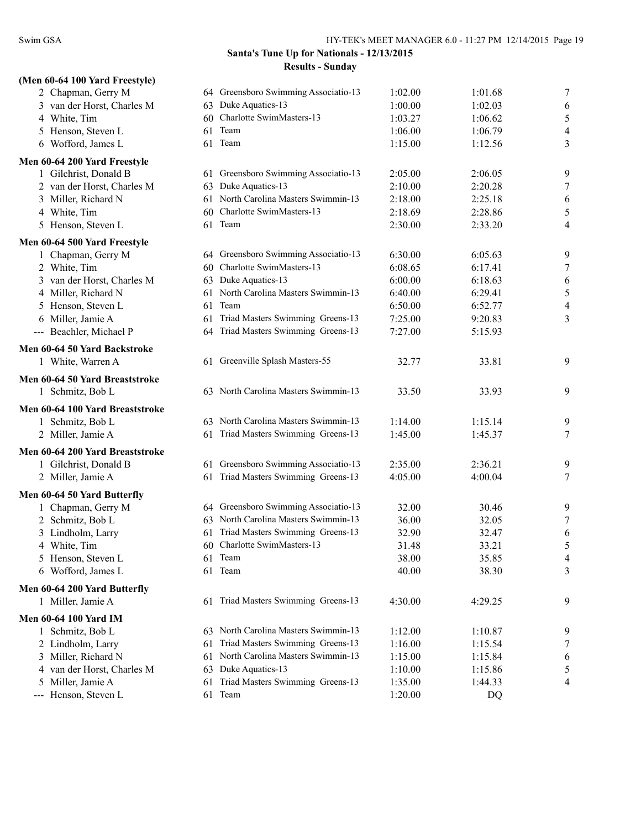| (Men 60-64 100 Yard Freestyle)   |    |                                      |         |         |                          |
|----------------------------------|----|--------------------------------------|---------|---------|--------------------------|
| 2 Chapman, Gerry M               |    | 64 Greensboro Swimming Associatio-13 | 1:02.00 | 1:01.68 | 7                        |
| 3 van der Horst, Charles M       | 63 | Duke Aquatics-13                     | 1:00.00 | 1:02.03 | 6                        |
| 4 White, Tim                     | 60 | Charlotte SwimMasters-13             | 1:03.27 | 1:06.62 | 5                        |
| 5 Henson, Steven L               | 61 | Team                                 | 1:06.00 | 1:06.79 | $\overline{\mathcal{A}}$ |
| 6 Wofford, James L               |    | 61 Team                              | 1:15.00 | 1:12.56 | 3                        |
| Men 60-64 200 Yard Freestyle     |    |                                      |         |         |                          |
| 1 Gilchrist, Donald B            |    | 61 Greensboro Swimming Associatio-13 | 2:05.00 | 2:06.05 | 9                        |
| 2 van der Horst, Charles M       | 63 | Duke Aquatics-13                     | 2:10.00 | 2:20.28 | 7                        |
| 3 Miller, Richard N              |    | 61 North Carolina Masters Swimmin-13 | 2:18.00 | 2:25.18 | 6                        |
| 4 White, Tim                     |    | 60 Charlotte SwimMasters-13          | 2:18.69 | 2:28.86 | 5                        |
| 5 Henson, Steven L               |    | 61 Team                              | 2:30.00 | 2:33.20 | 4                        |
| Men 60-64 500 Yard Freestyle     |    |                                      |         |         |                          |
| 1 Chapman, Gerry M               |    | 64 Greensboro Swimming Associatio-13 | 6:30.00 | 6:05.63 | 9                        |
| 2 White, Tim                     | 60 | Charlotte SwimMasters-13             | 6:08.65 | 6:17.41 | 7                        |
| 3 van der Horst, Charles M       |    | 63 Duke Aquatics-13                  | 6:00.00 | 6:18.63 | 6                        |
| 4 Miller, Richard N              | 61 | North Carolina Masters Swimmin-13    | 6:40.00 | 6:29.41 | 5                        |
| 5 Henson, Steven L               | 61 | Team                                 | 6:50.00 | 6:52.77 | $\overline{\mathcal{A}}$ |
| 6 Miller, Jamie A                | 61 | Triad Masters Swimming Greens-13     | 7:25.00 | 9:20.83 | 3                        |
| --- Beachler, Michael P          |    | 64 Triad Masters Swimming Greens-13  | 7:27.00 | 5:15.93 |                          |
| Men 60-64 50 Yard Backstroke     |    |                                      |         |         |                          |
| 1 White, Warren A                |    | 61 Greenville Splash Masters-55      | 32.77   | 33.81   | 9                        |
| Men 60-64 50 Yard Breaststroke   |    |                                      |         |         |                          |
| 1 Schmitz, Bob L                 |    | 63 North Carolina Masters Swimmin-13 | 33.50   | 33.93   | 9                        |
| Men 60-64 100 Yard Breaststroke  |    |                                      |         |         |                          |
| 1 Schmitz, Bob L                 |    | 63 North Carolina Masters Swimmin-13 | 1:14.00 | 1:15.14 | 9                        |
| 2 Miller, Jamie A                | 61 | Triad Masters Swimming Greens-13     | 1:45.00 | 1:45.37 | 7                        |
| Men 60-64 200 Yard Breaststroke  |    |                                      |         |         |                          |
| 1 Gilchrist, Donald B            |    | 61 Greensboro Swimming Associatio-13 | 2:35.00 | 2:36.21 | 9                        |
| 2 Miller, Jamie A                | 61 | Triad Masters Swimming Greens-13     | 4:05.00 | 4:00.04 | 7                        |
| Men 60-64 50 Yard Butterfly      |    |                                      |         |         |                          |
| 1 Chapman, Gerry M               |    | 64 Greensboro Swimming Associatio-13 | 32.00   | 30.46   | 9                        |
| 2 Schmitz, Bob L                 |    | 63 North Carolina Masters Swimmin-13 | 36.00   | 32.05   | 7                        |
| 3 Lindholm, Larry                |    | 61 Triad Masters Swimming Greens-13  | 32.90   | 32.47   | 6                        |
| 4 White, Tim                     |    | 60 Charlotte SwimMasters-13          | 31.48   | 33.21   | 5                        |
| 5 Henson, Steven L               |    | 61 Team                              | 38.00   | 35.85   | 4                        |
| 6 Wofford, James L               |    | 61 Team                              | 40.00   | 38.30   | 3                        |
| Men 60-64 200 Yard Butterfly     |    |                                      |         |         |                          |
| 1 Miller, Jamie A                |    | 61 Triad Masters Swimming Greens-13  | 4:30.00 | 4:29.25 | 9                        |
| <b>Men 60-64 100 Yard IM</b>     |    |                                      |         |         |                          |
| 1 Schmitz, Bob L                 |    | 63 North Carolina Masters Swimmin-13 | 1:12.00 | 1:10.87 | 9                        |
| 2 Lindholm, Larry                | 61 | Triad Masters Swimming Greens-13     | 1:16.00 | 1:15.54 | 7                        |
| 3 Miller, Richard N              |    | 61 North Carolina Masters Swimmin-13 | 1:15.00 | 1:15.84 | 6                        |
| 4 van der Horst, Charles M       |    | 63 Duke Aquatics-13                  | 1:10.00 | 1:15.86 | 5                        |
| Miller, Jamie A<br>$\mathcal{L}$ | 61 | Triad Masters Swimming Greens-13     | 1:35.00 | 1:44.33 | 4                        |
| --- Henson, Steven L             |    | 61 Team                              | 1:20.00 | DQ      |                          |
|                                  |    |                                      |         |         |                          |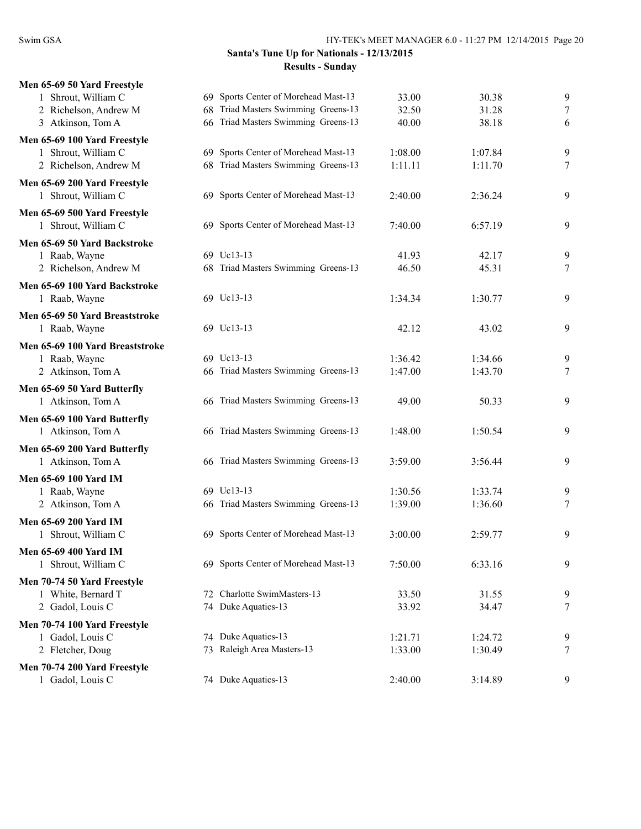| Men 65-69 50 Yard Freestyle                         |                                        |         |         |   |
|-----------------------------------------------------|----------------------------------------|---------|---------|---|
| 1 Shrout, William C                                 | 69 Sports Center of Morehead Mast-13   | 33.00   | 30.38   | 9 |
| 2 Richelson, Andrew M                               | Triad Masters Swimming Greens-13<br>68 | 32.50   | 31.28   | 7 |
| 3 Atkinson, Tom A                                   | 66 Triad Masters Swimming Greens-13    | 40.00   | 38.18   | 6 |
| Men 65-69 100 Yard Freestyle                        |                                        |         |         |   |
| 1 Shrout, William C                                 | 69 Sports Center of Morehead Mast-13   | 1:08.00 | 1:07.84 | 9 |
| 2 Richelson, Andrew M                               | 68 Triad Masters Swimming Greens-13    | 1:11.11 | 1:11.70 | 7 |
| Men 65-69 200 Yard Freestyle<br>1 Shrout, William C | 69 Sports Center of Morehead Mast-13   | 2:40.00 | 2:36.24 | 9 |
| Men 65-69 500 Yard Freestyle                        |                                        |         |         |   |
| 1 Shrout, William C                                 | 69 Sports Center of Morehead Mast-13   | 7:40.00 | 6:57.19 | 9 |
| Men 65-69 50 Yard Backstroke                        |                                        |         |         |   |
| 1 Raab, Wayne                                       | 69 Uc13-13                             | 41.93   | 42.17   | 9 |
| 2 Richelson, Andrew M                               | 68 Triad Masters Swimming Greens-13    | 46.50   | 45.31   | 7 |
| Men 65-69 100 Yard Backstroke                       |                                        |         |         |   |
| 1 Raab, Wayne                                       | 69 Uc13-13                             | 1:34.34 | 1:30.77 | 9 |
| Men 65-69 50 Yard Breaststroke                      |                                        |         |         |   |
| 1 Raab, Wayne                                       | 69 Uc13-13                             | 42.12   | 43.02   | 9 |
| Men 65-69 100 Yard Breaststroke                     |                                        |         |         |   |
| 1 Raab, Wayne                                       | 69 Uc13-13                             | 1:36.42 | 1:34.66 | 9 |
| 2 Atkinson, Tom A                                   | 66 Triad Masters Swimming Greens-13    | 1:47.00 | 1:43.70 | 7 |
|                                                     |                                        |         |         |   |
| Men 65-69 50 Yard Butterfly<br>1 Atkinson, Tom A    | 66 Triad Masters Swimming Greens-13    | 49.00   | 50.33   | 9 |
|                                                     |                                        |         |         |   |
| Men 65-69 100 Yard Butterfly<br>1 Atkinson, Tom A   | 66 Triad Masters Swimming Greens-13    | 1:48.00 | 1:50.54 | 9 |
|                                                     |                                        |         |         |   |
| Men 65-69 200 Yard Butterfly                        |                                        |         |         |   |
| 1 Atkinson, Tom A                                   | 66 Triad Masters Swimming Greens-13    | 3:59.00 | 3:56.44 | 9 |
| <b>Men 65-69 100 Yard IM</b>                        |                                        |         |         |   |
| 1 Raab, Wayne                                       | 69 Uc13-13                             | 1:30.56 | 1:33.74 | 9 |
| 2 Atkinson, Tom A                                   | 66 Triad Masters Swimming Greens-13    | 1:39.00 | 1:36.60 | 7 |
| Men 65-69 200 Yard IM                               |                                        |         |         |   |
| 1 Shrout, William C                                 | 69 Sports Center of Morehead Mast-13   | 3:00.00 | 2:59.77 | 9 |
| Men 65-69 400 Yard IM                               |                                        |         |         |   |
| 1 Shrout, William C                                 | 69 Sports Center of Morehead Mast-13   | 7:50.00 | 6:33.16 | 9 |
| Men 70-74 50 Yard Freestyle                         |                                        |         |         |   |
| 1 White, Bernard T                                  | 72 Charlotte SwimMasters-13            | 33.50   | 31.55   | 9 |
| 2 Gadol, Louis C                                    | 74 Duke Aquatics-13                    | 33.92   | 34.47   | 7 |
| Men 70-74 100 Yard Freestyle                        |                                        |         |         |   |
| 1 Gadol, Louis C                                    | 74 Duke Aquatics-13                    | 1:21.71 | 1:24.72 | 9 |
| 2 Fletcher, Doug                                    | 73 Raleigh Area Masters-13             | 1:33.00 | 1:30.49 | 7 |
| Men 70-74 200 Yard Freestyle                        |                                        |         |         |   |
| 1 Gadol, Louis C                                    | 74 Duke Aquatics-13                    | 2:40.00 | 3:14.89 | 9 |